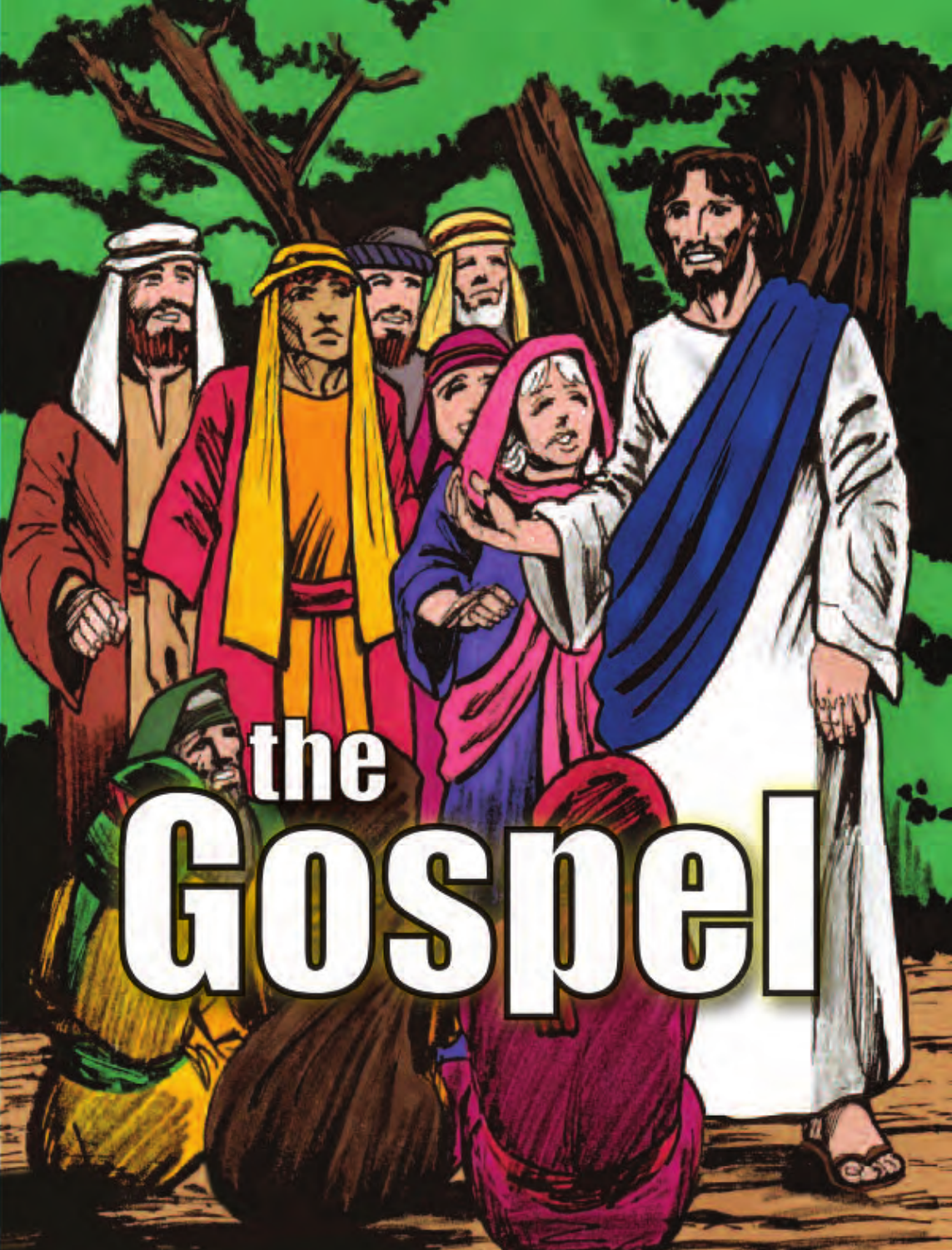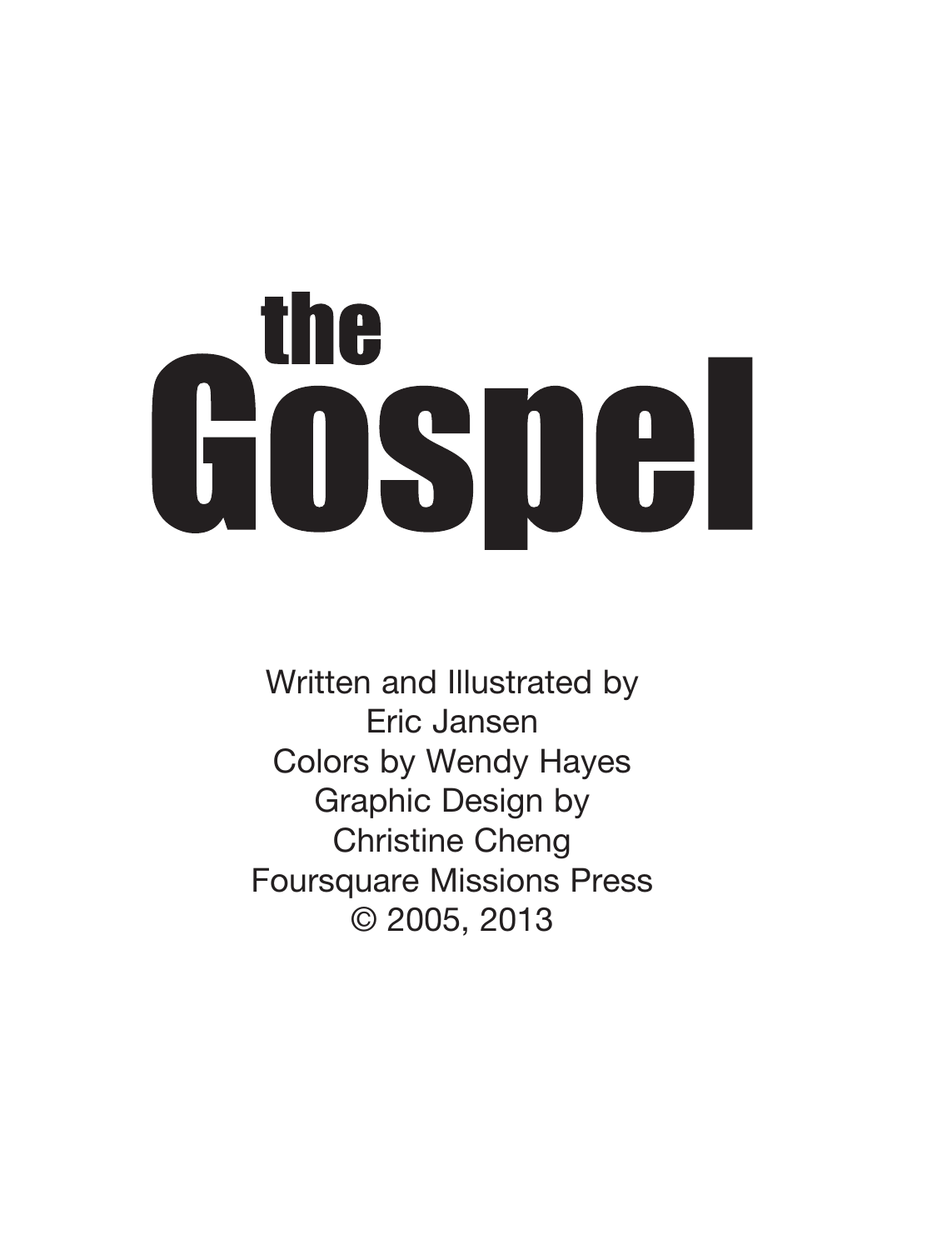## **the** Gosnel

Written and Illustrated by Eric Jansen Colors by Wendy Hayes Graphic Design by Christine Cheng Foursquare Missions Press © 2005, 2013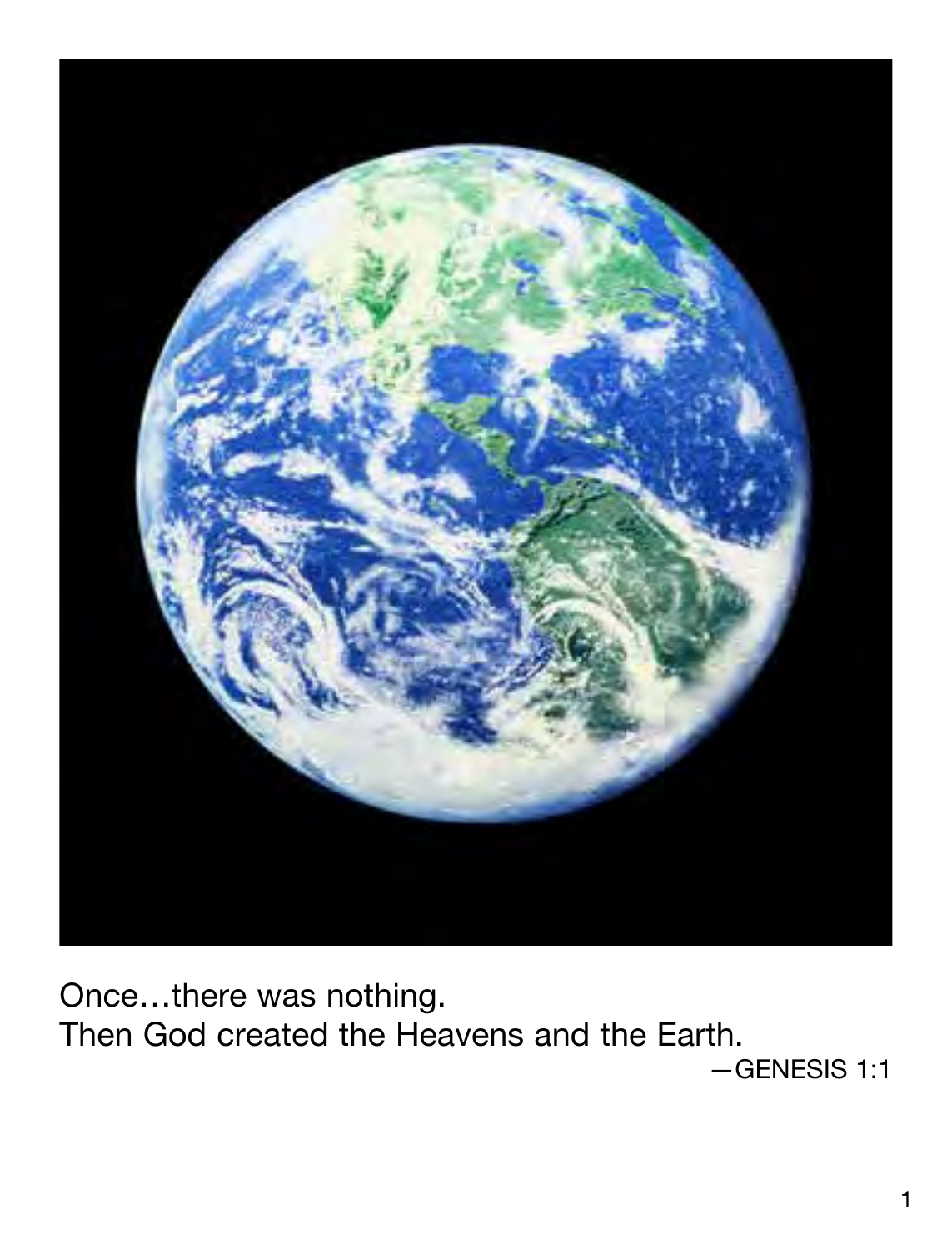

Once…there was nothing. Then God created the Heavens and the Earth. —GENESIS 1:1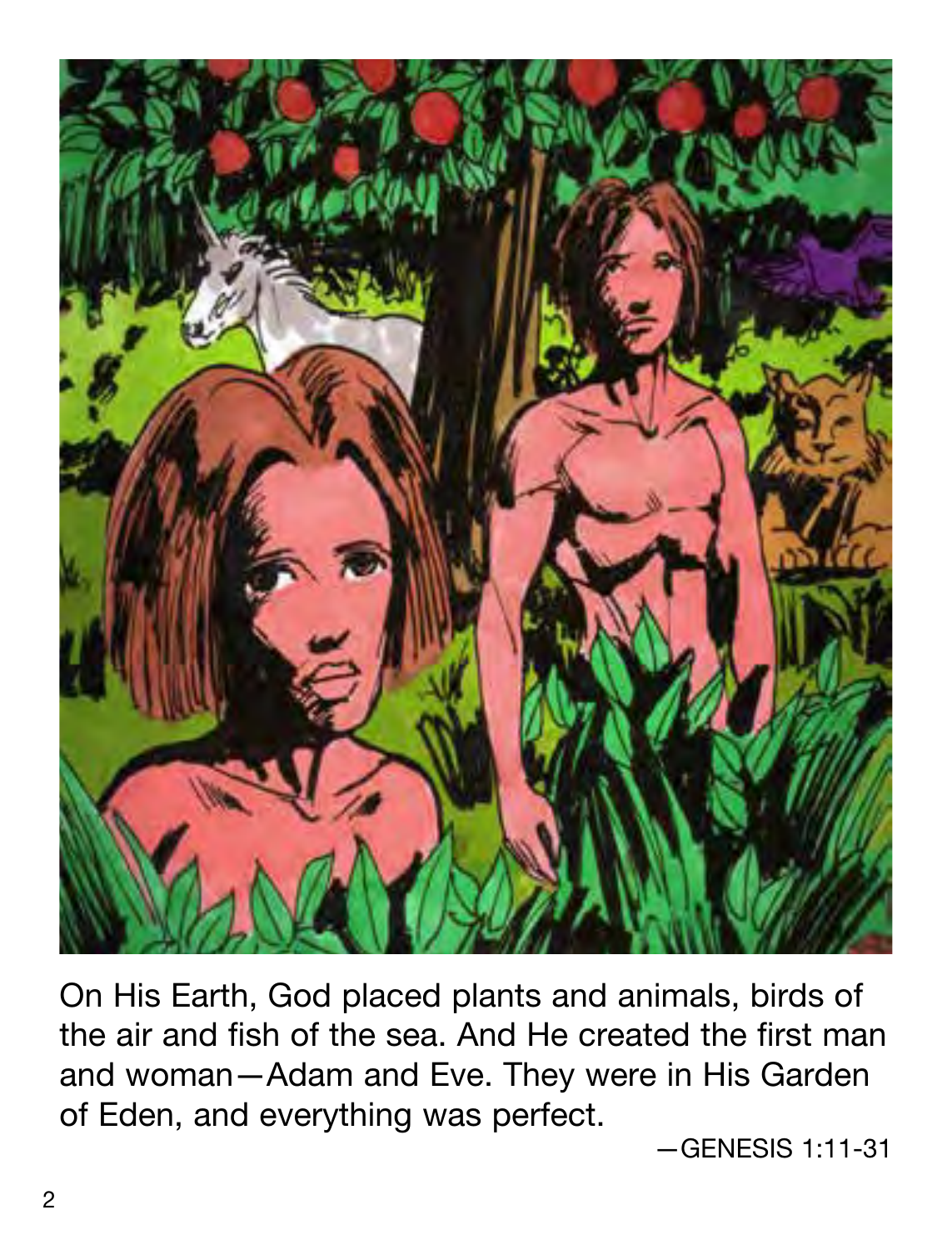

On His Earth, God placed plants and animals, birds of the air and fish of the sea. And He created the first man and woman—Adam and Eve. They were in His Garden of Eden, and everything was perfect.

—GENESIS 1:11-31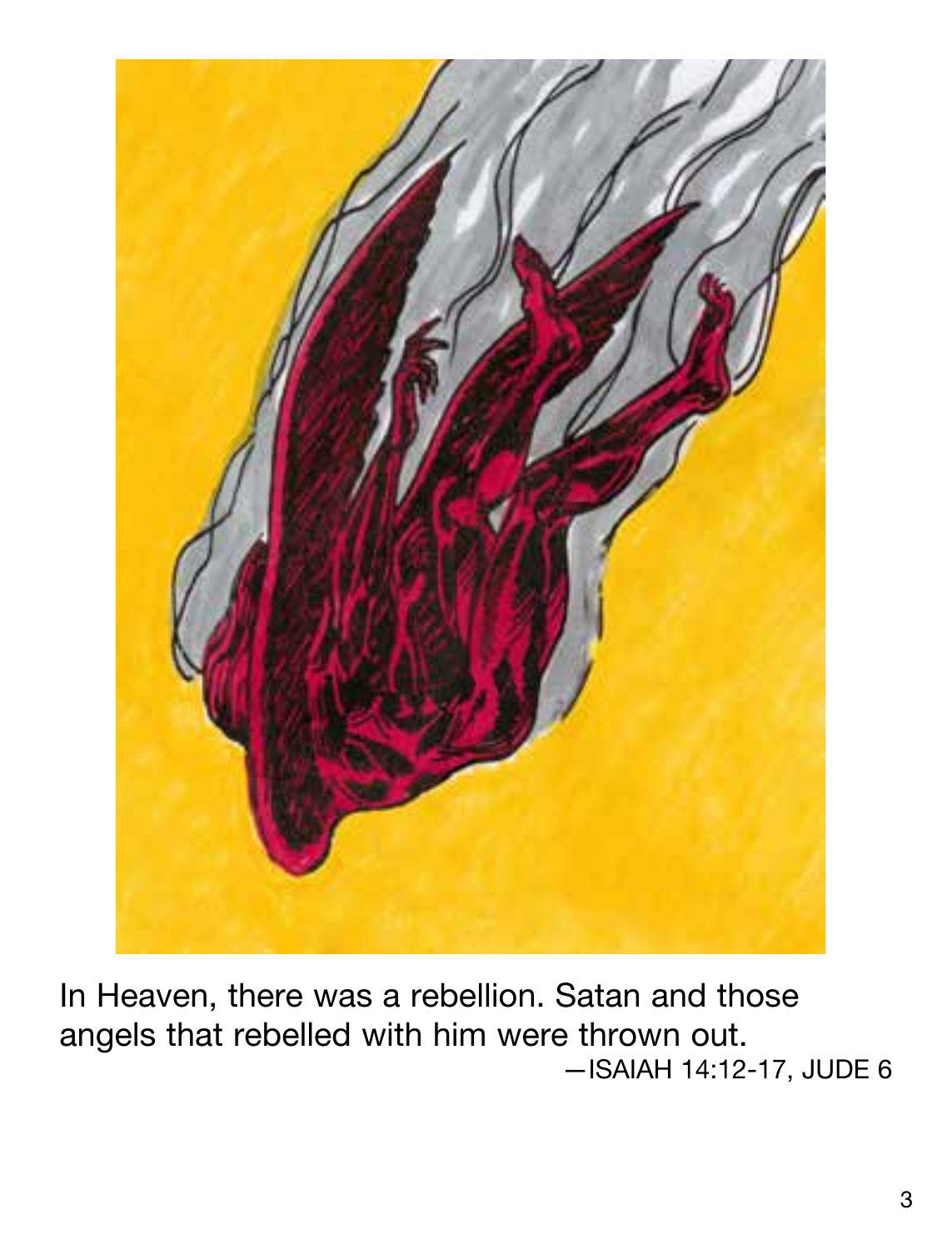

In Heaven, there was a rebellion. Satan and those angels that rebelled with him were thrown out. —ISAIAH 14:12-17, JUDE 6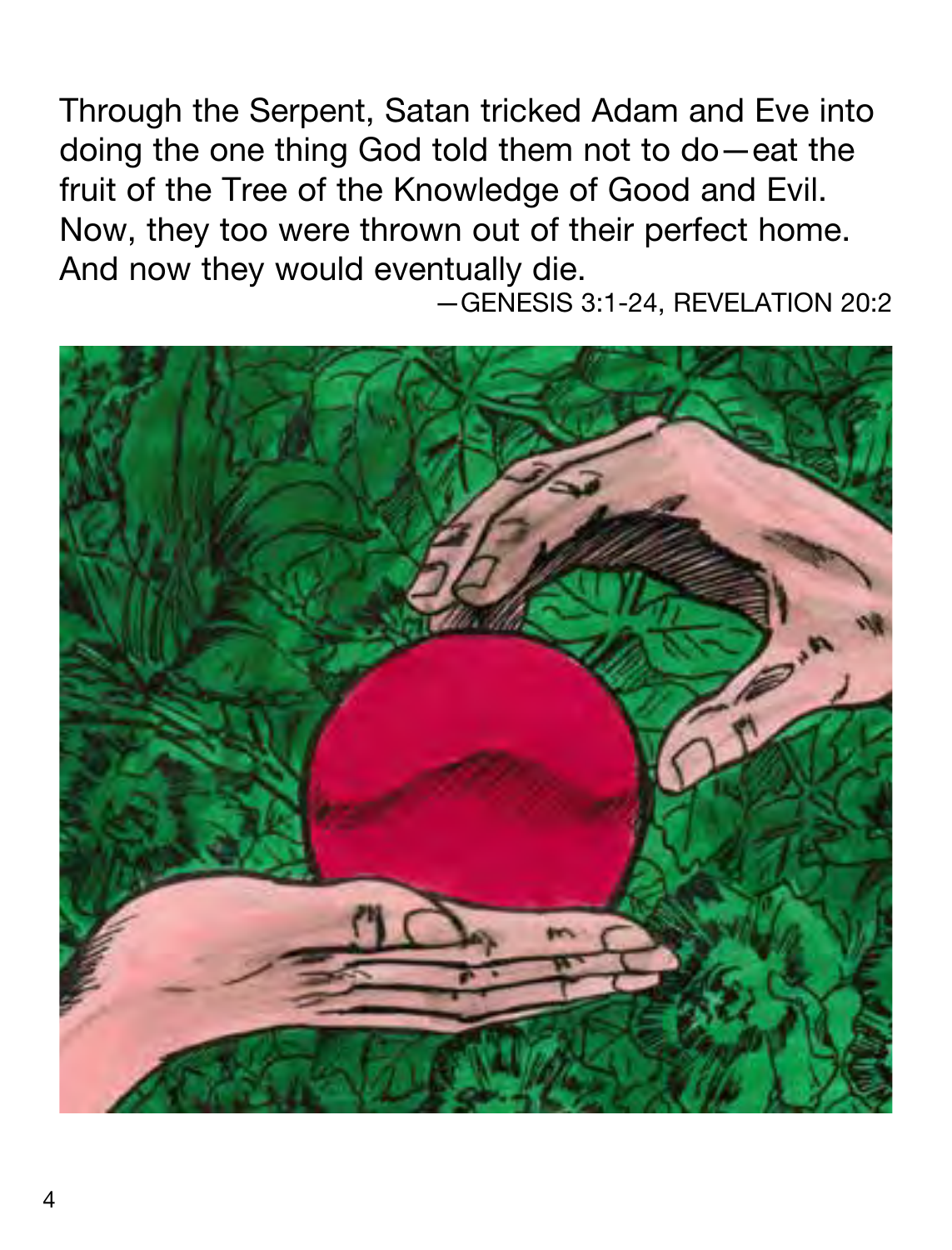Through the Serpent, Satan tricked Adam and Eve into doing the one thing God told them not to do—eat the fruit of the Tree of the Knowledge of Good and Evil. Now, they too were thrown out of their perfect home. And now they would eventually die.

—GENESIS 3:1-24, REVELATION 20:2

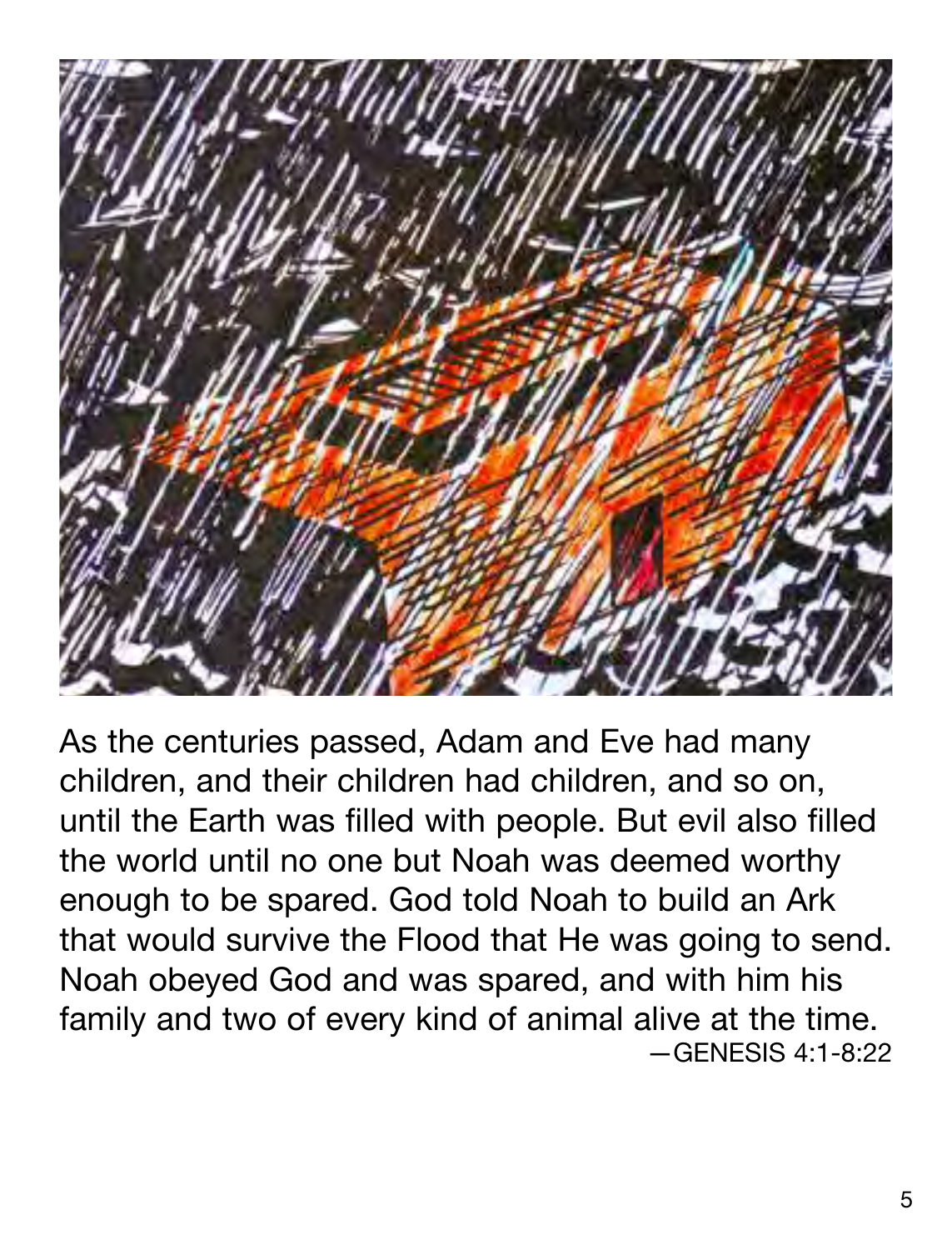

As the centuries passed, Adam and Eve had many children, and their children had children, and so on, until the Earth was filled with people. But evil also filled the world until no one but Noah was deemed worthy enough to be spared. God told Noah to build an Ark that would survive the Flood that He was going to send. Noah obeyed God and was spared, and with him his family and two of every kind of animal alive at the time.  $-$ GENESIS 4:1-8:22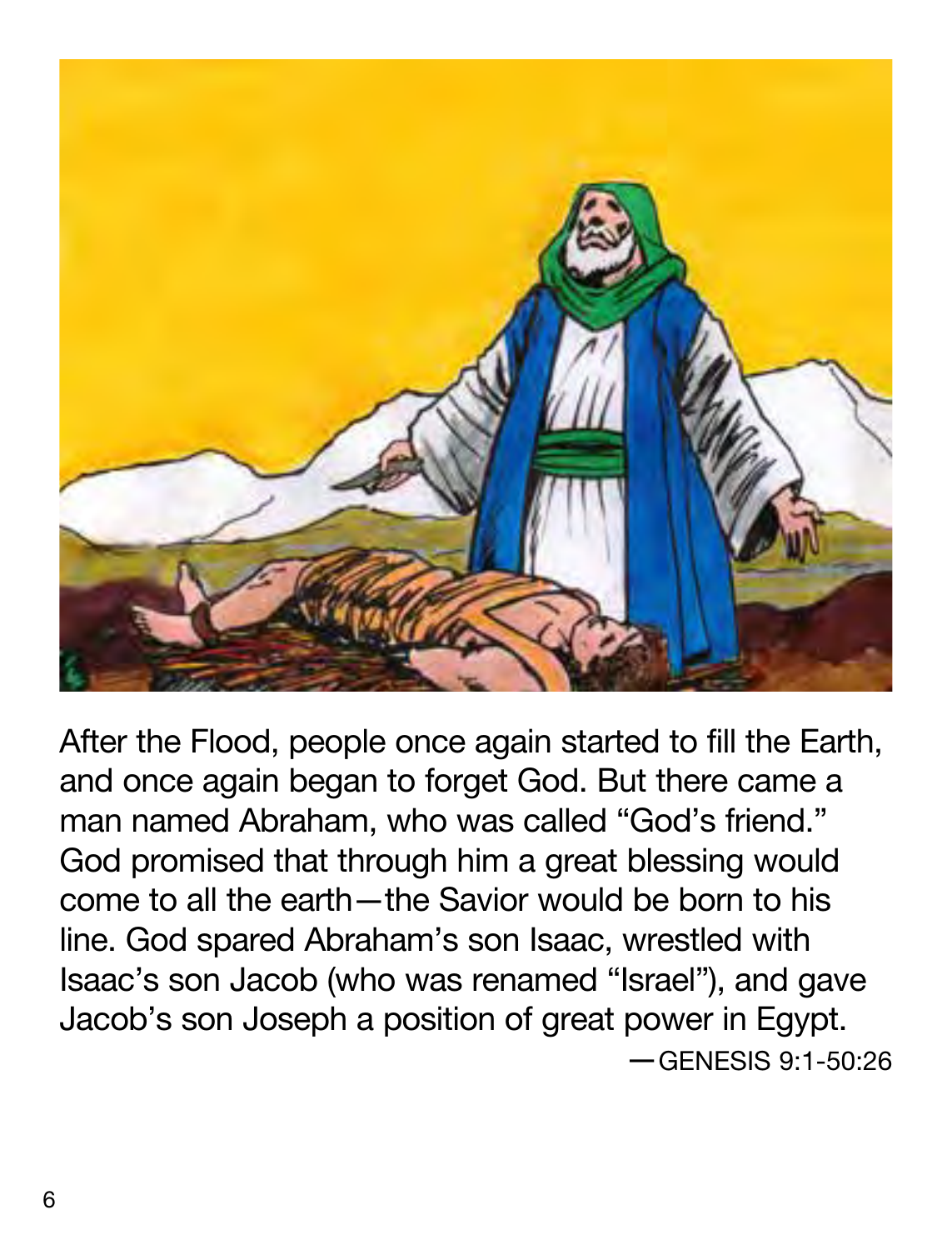

After the Flood, people once again started to fill the Earth, and once again began to forget God. But there came a man named Abraham, who was called "God's friend." God promised that through him a great blessing would come to all the earth—the Savior would be born to his line. God spared Abraham's son Isaac, wrestled with Isaac's son Jacob (who was renamed "Israel"), and gave Jacob's son Joseph a position of great power in Egypt. —GENESIS 9:1-50:26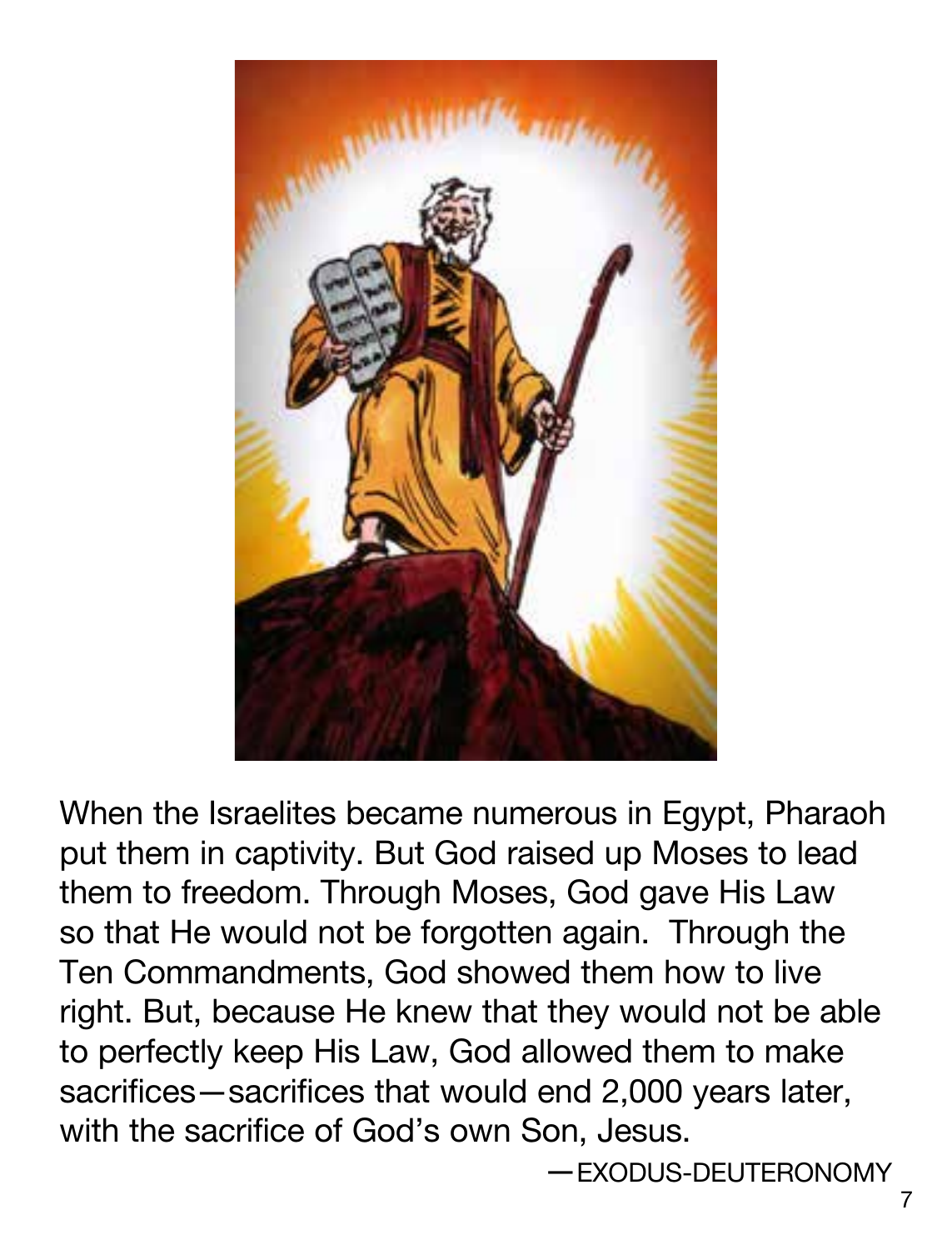

When the Israelites became numerous in Egypt, Pharaoh put them in captivity. But God raised up Moses to lead them to freedom. Through Moses, God gave His Law so that He would not be forgotten again. Through the Ten Commandments, God showed them how to live right. But, because He knew that they would not be able to perfectly keep His Law, God allowed them to make sacrifices—sacrifices that would end 2,000 years later, with the sacrifice of God's own Son, Jesus.

—EXODUS-DEUTERONOMY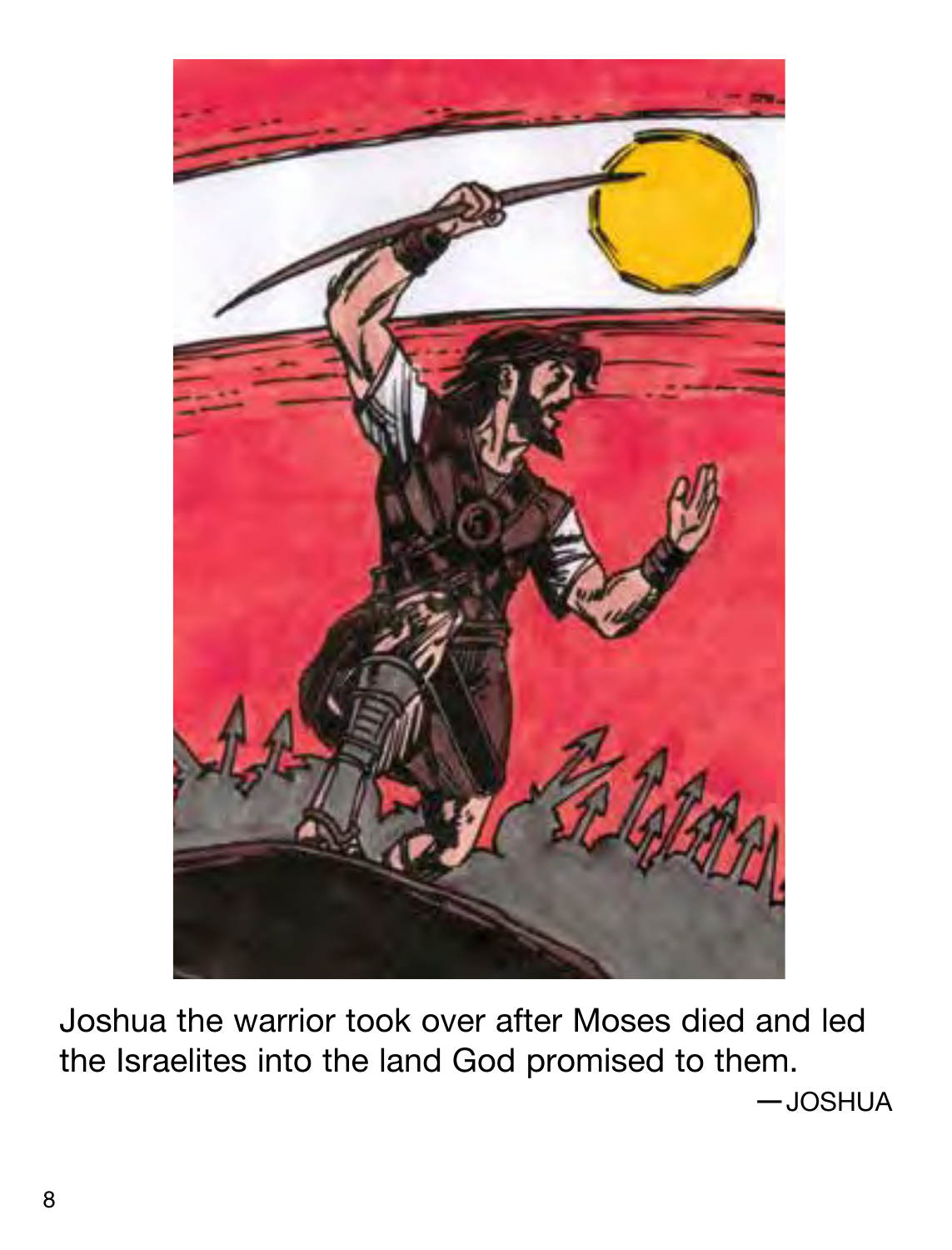

Joshua the warrior took over after Moses died and led the Israelites into the land God promised to them. —JOSHUA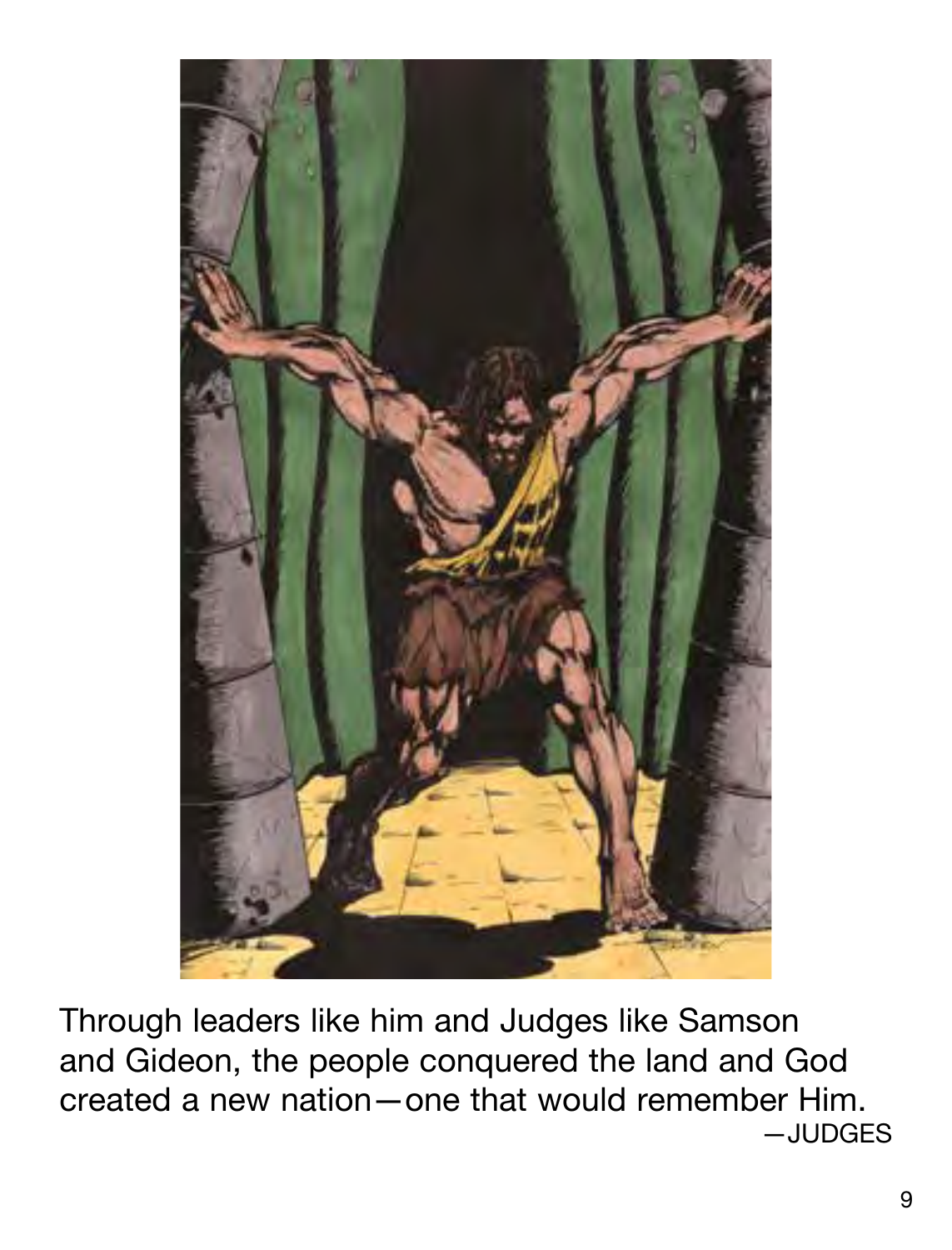

Through leaders like him and Judges like Samson and Gideon, the people conquered the land and God created a new nation—one that would remember Him. —JUDGES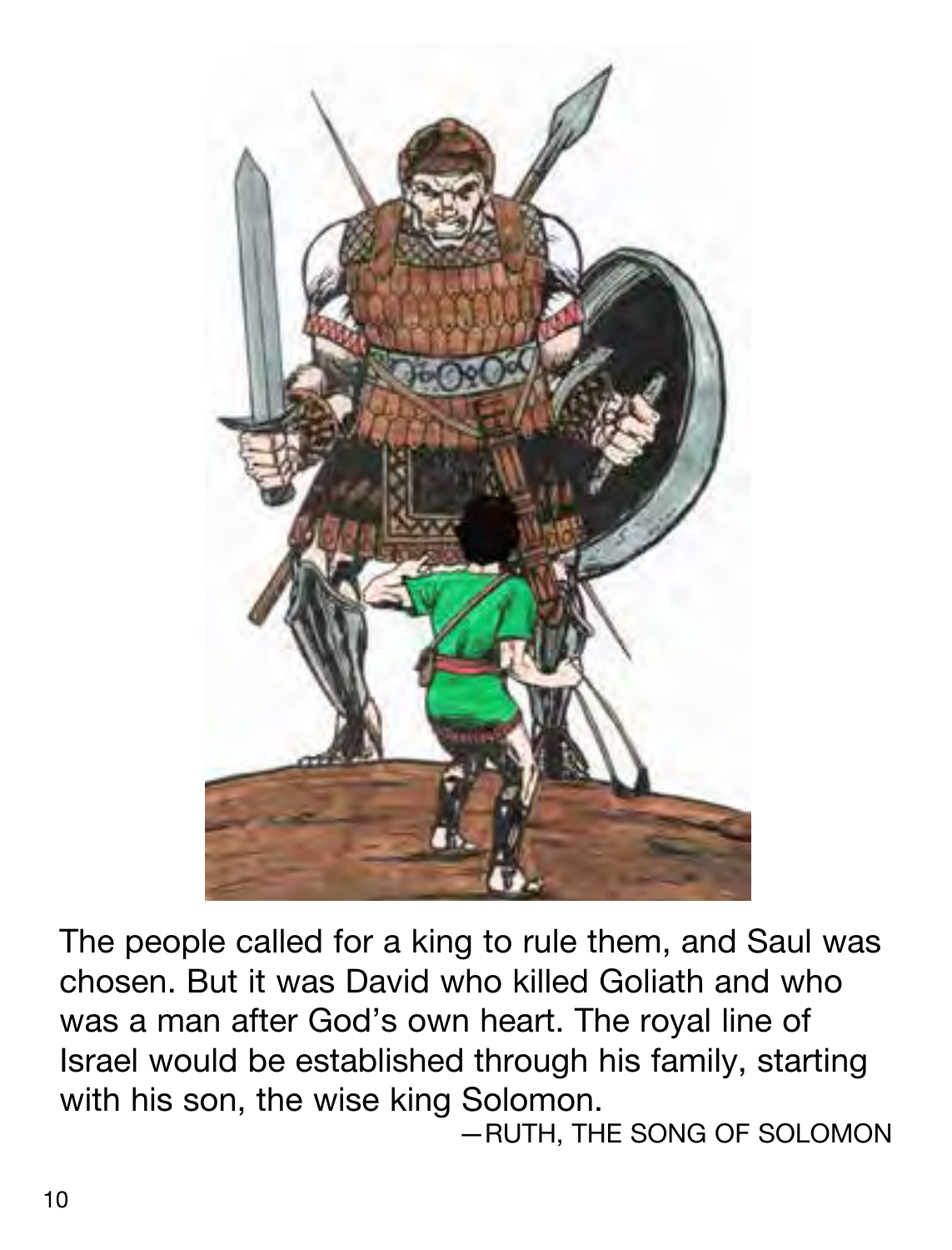

The people called for a king to rule them, and Saul was chosen. But it was David who killed Goliath and who was a man after God's own heart. The royal line of Israel would be established through his family, starting with his son, the wise king Solomon.

—RUTH, THE SONG OF SOLOMON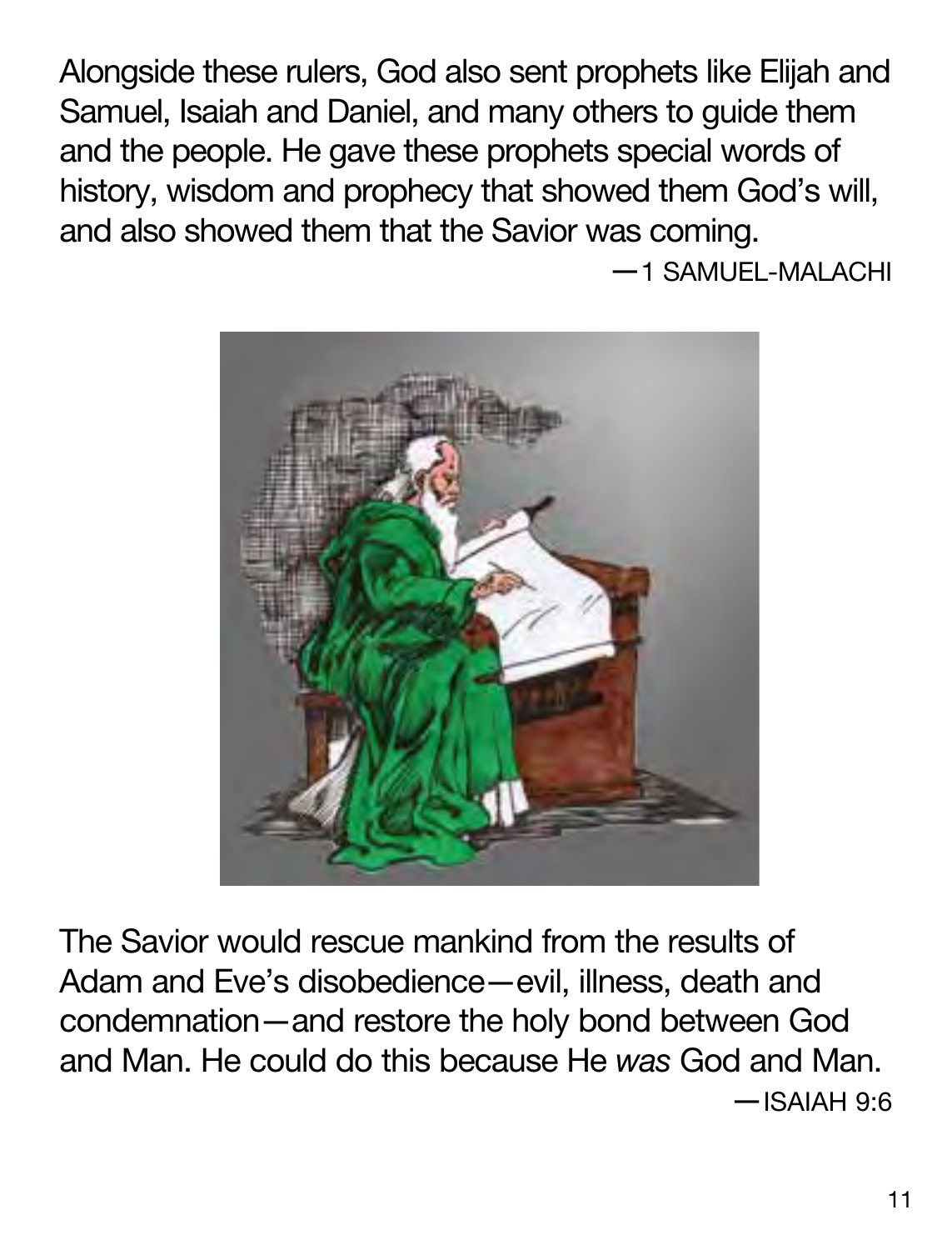Alongside these rulers, God also sent prophets like Elijah and Samuel, Isaiah and Daniel, and many others to guide them and the people. He gave these prophets special words of history, wisdom and prophecy that showed them God's will, and also showed them that the Savior was coming.

—1 SAMUEL-MALACHI



The Savior would rescue mankind from the results of Adam and Eve's disobedience—evil, illness, death and condemnation—and restore the holy bond between God and Man. He could do this because He *was* God and Man. —ISAIAH 9:6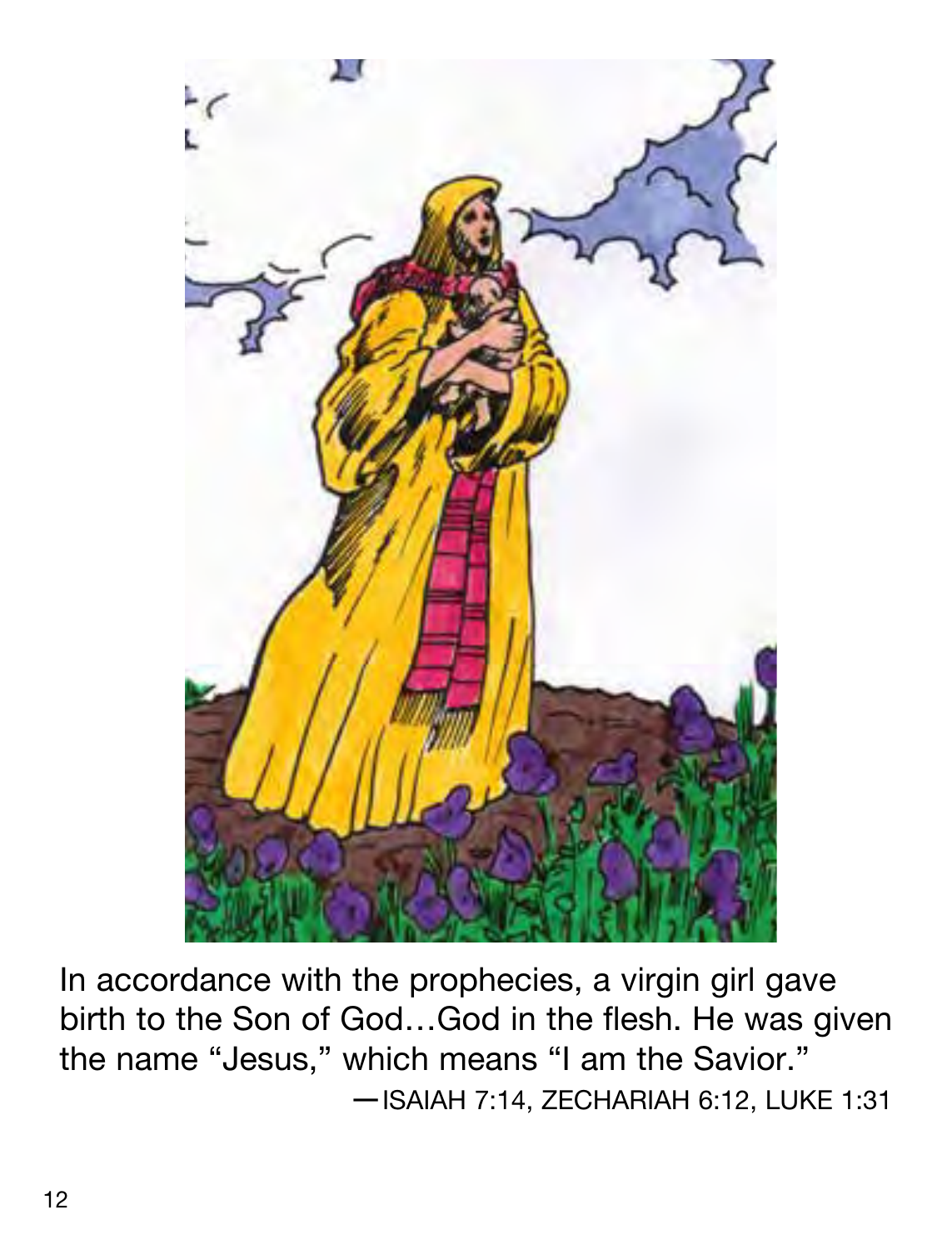

In accordance with the prophecies, a virgin girl gave birth to the Son of God…God in the flesh. He was given the name "Jesus," which means "I am the Savior." —ISAIAH 7:14, ZECHARIAH 6:12, LUKE 1:31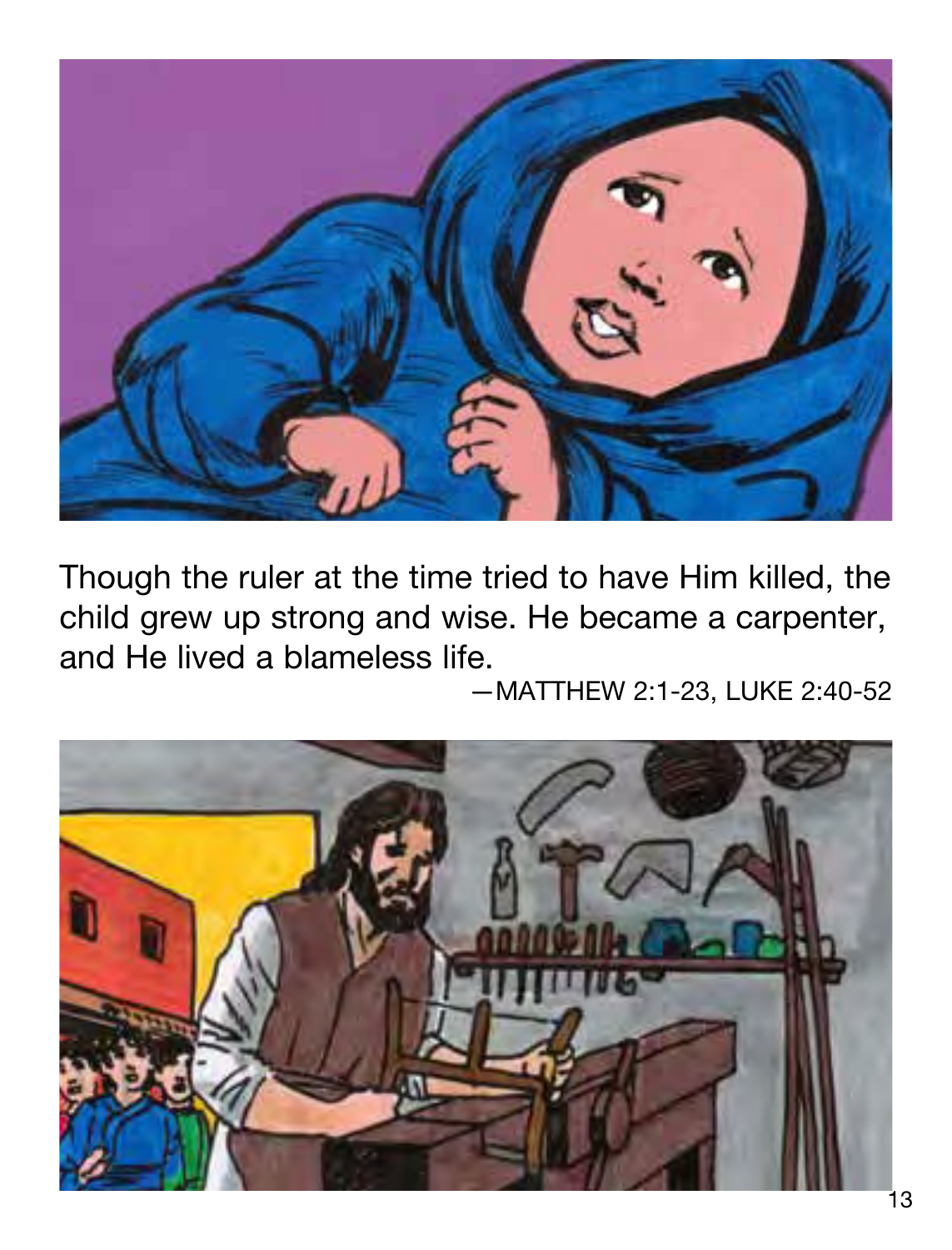

Though the ruler at the time tried to have Him killed, the child grew up strong and wise. He became a carpenter, and He lived a blameless life.

—MATTHEW 2:1-23, LUKE 2:40-52

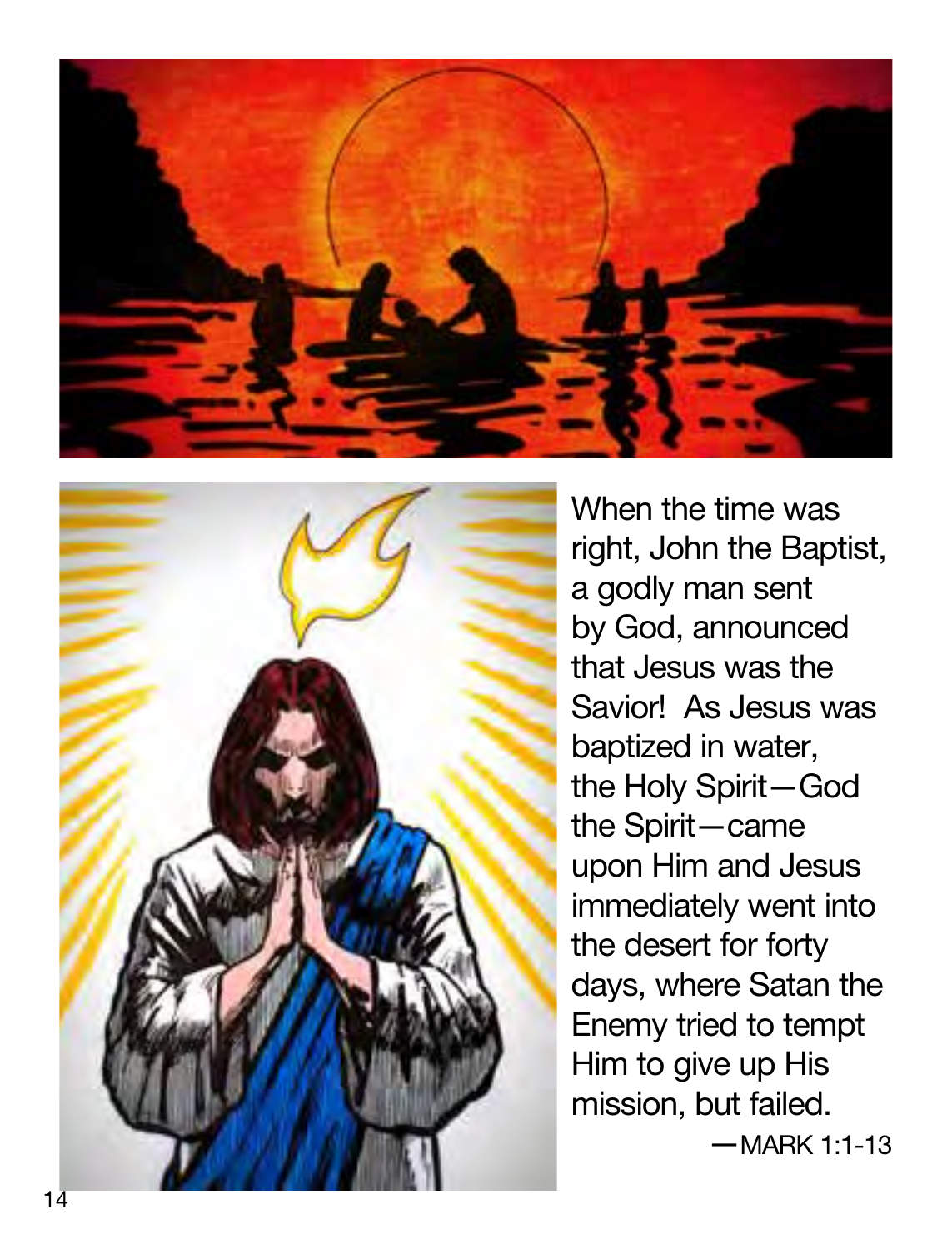



When the time was right, John the Baptist, a godly man sent by God, announced that Jesus was the Savior! As Jesus was baptized in water, the Holy Spirit—God the Spirit—came upon Him and Jesus immediately went into the desert for forty days, where Satan the Enemy tried to tempt Him to give up His mission, but failed.<br>-MARK 1:1-13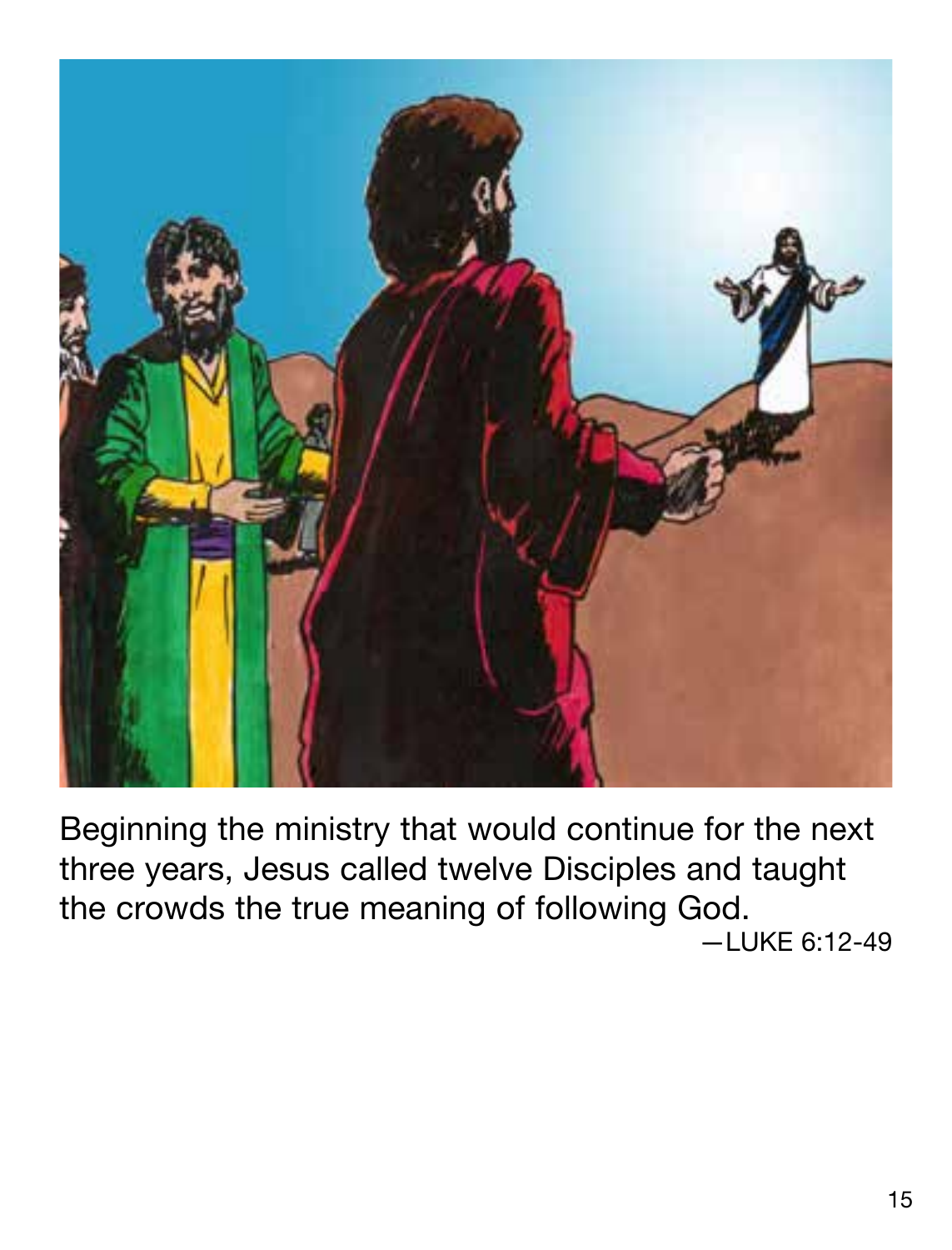

Beginning the ministry that would continue for the next three years, Jesus called twelve Disciples and taught the crowds the true meaning of following God. —LUKE 6:12-49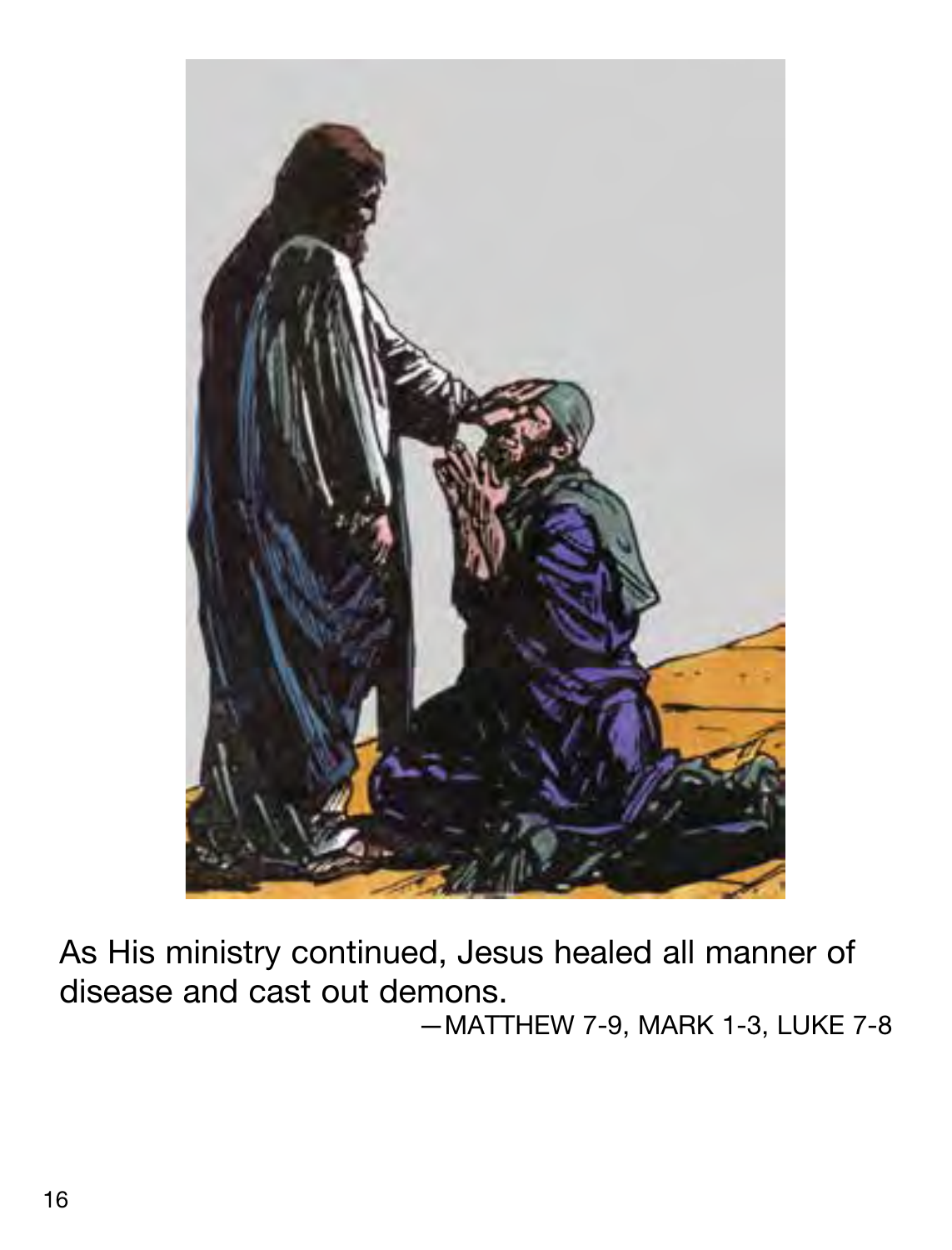

As His ministry continued, Jesus healed all manner of disease and cast out demons.

—MATTHEW 7-9, MARK 1-3, LUKE 7-8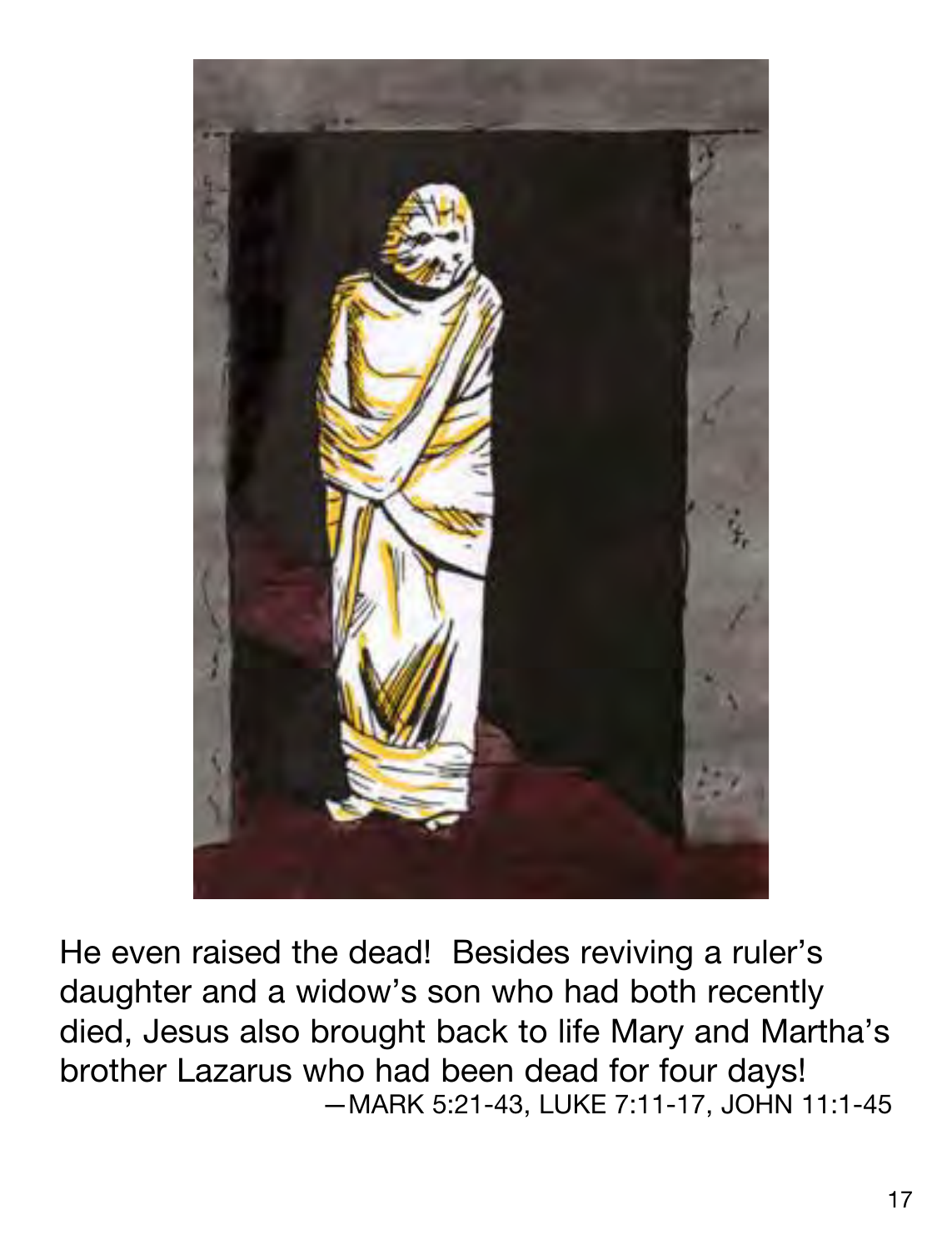

He even raised the dead! Besides reviving a ruler's daughter and a widow's son who had both recently died, Jesus also brought back to life Mary and Martha's brother Lazarus who had been dead for four days! —MARK 5:21-43, LUKE 7:11-17, JOHN 11:1-45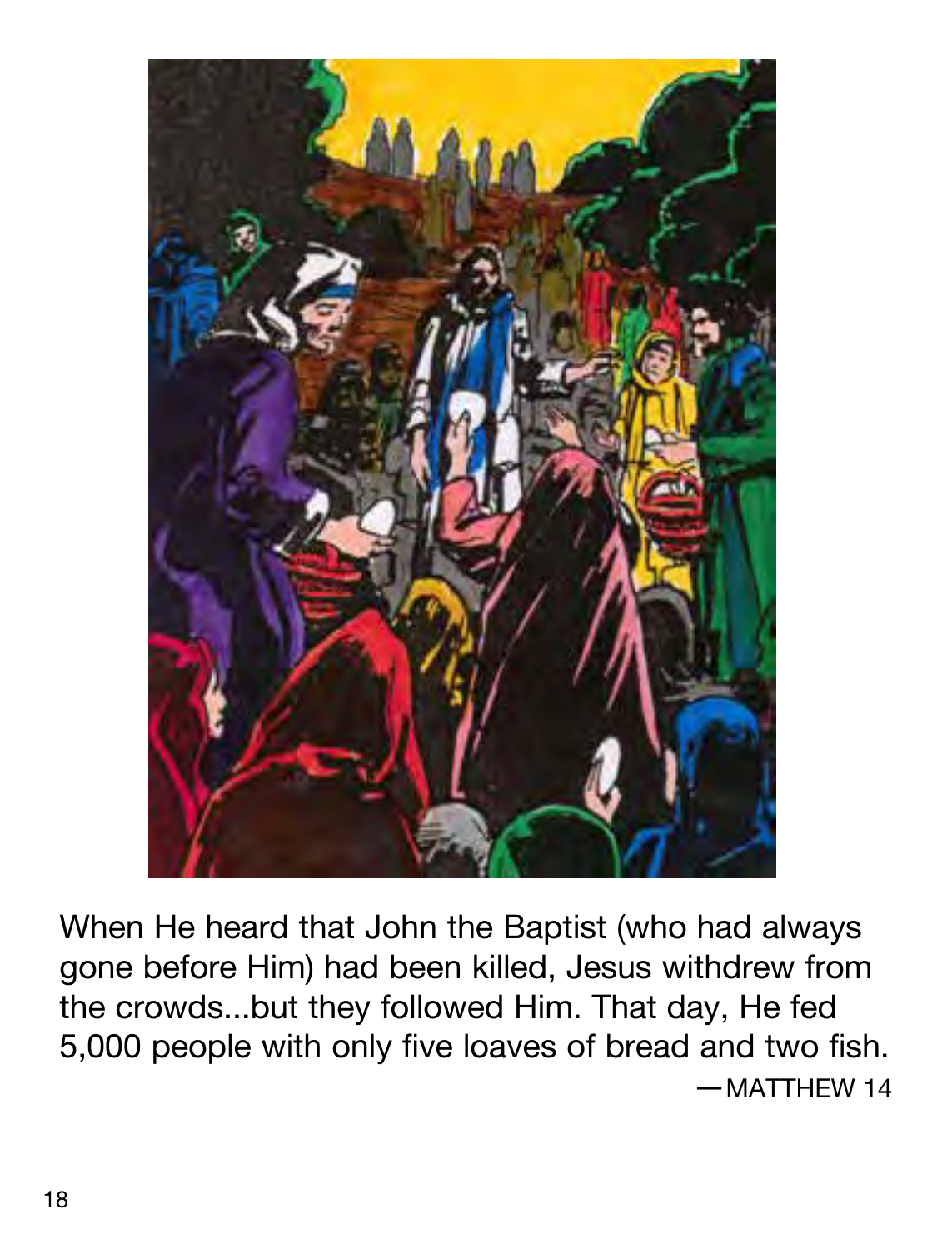

When He heard that John the Baptist (who had always gone before Him) had been killed, Jesus withdrew from the crowds...but they followed Him. That day, He fed 5,000 people with only five loaves of bread and two fish. —MATTHEW 14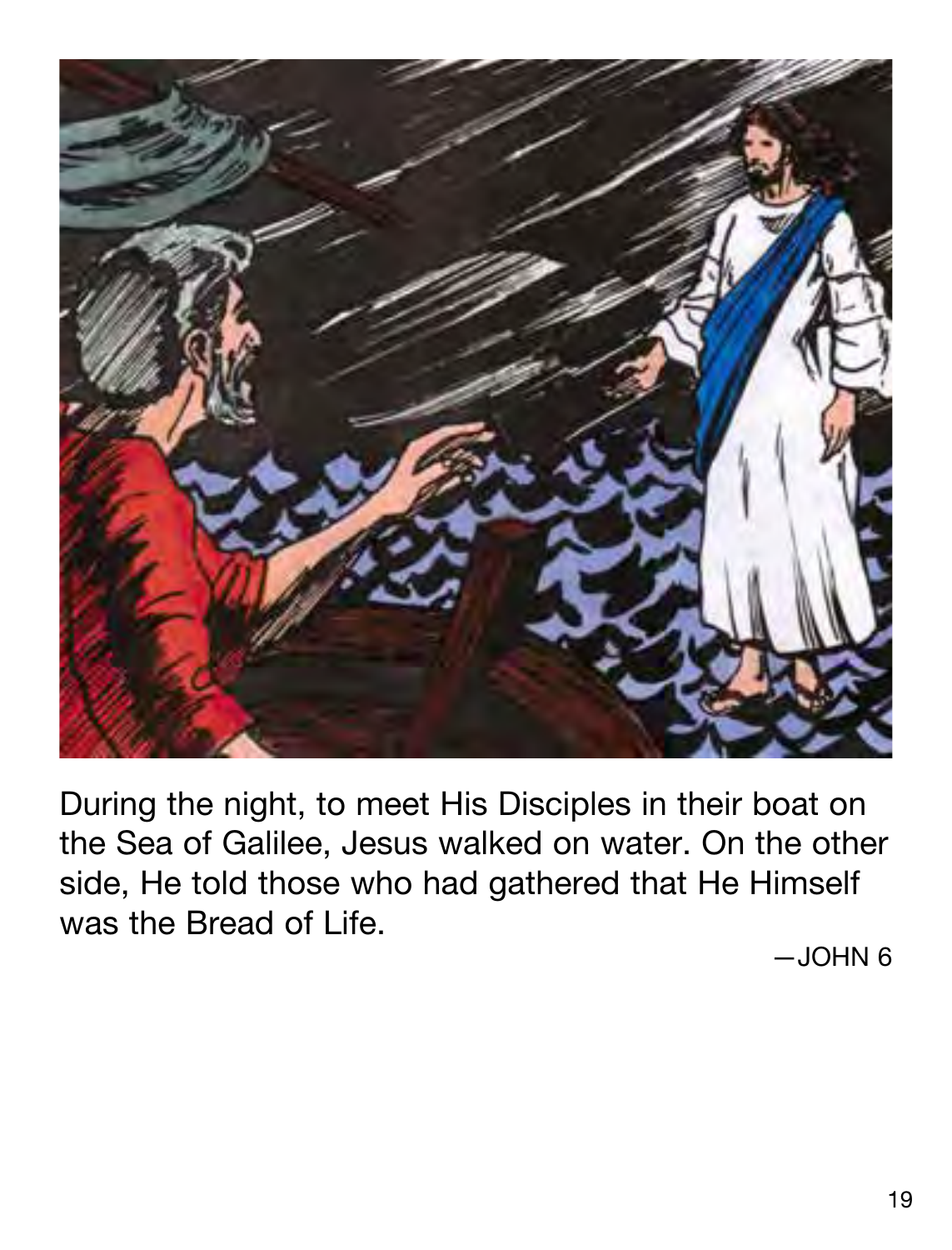

During the night, to meet His Disciples in their boat on the Sea of Galilee, Jesus walked on water. On the other side, He told those who had gathered that He Himself was the Bread of Life.

—JOHN 6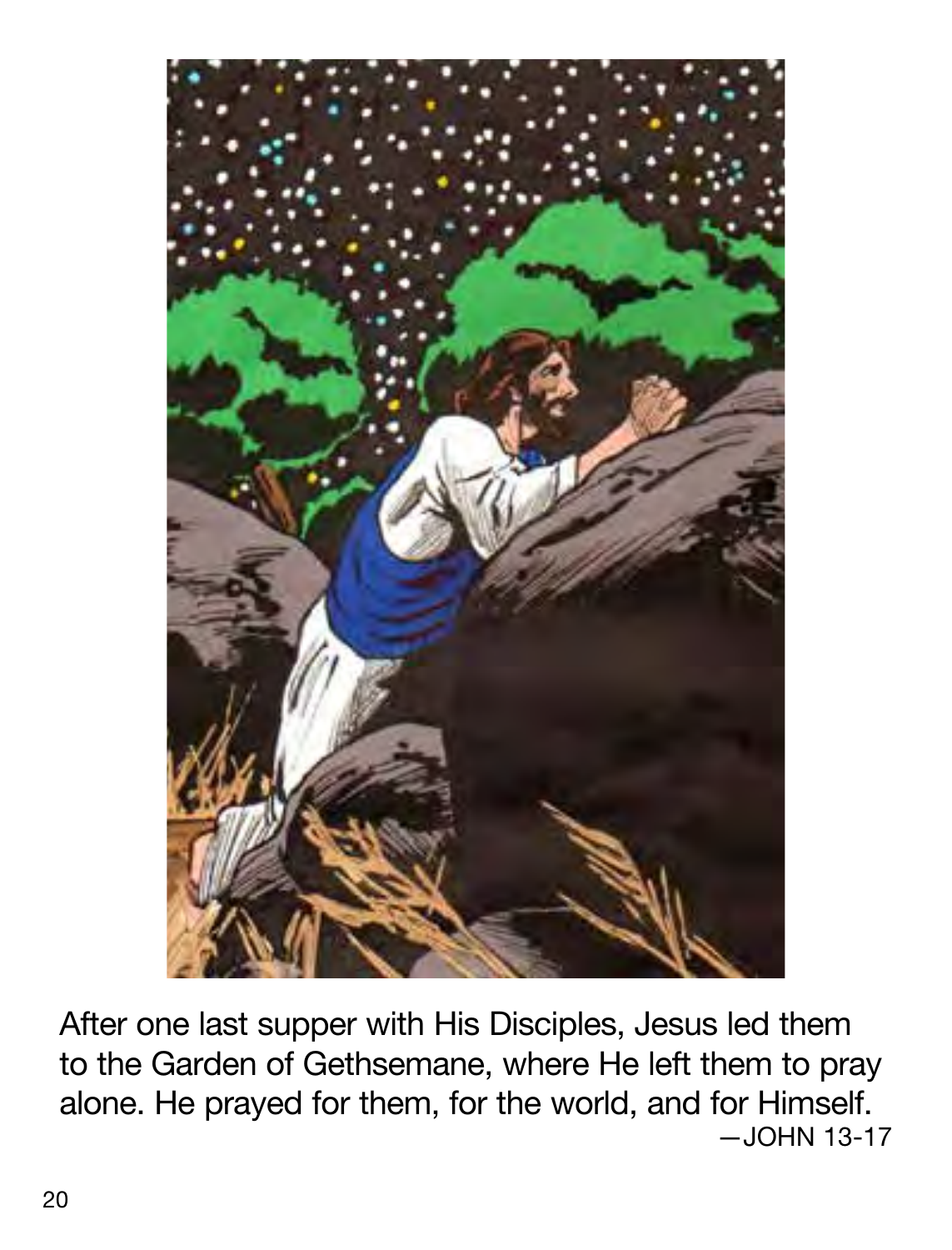

After one last supper with His Disciples, Jesus led them to the Garden of Gethsemane, where He left them to pray alone. He prayed for them, for the world, and for Himself. —JOHN 13-17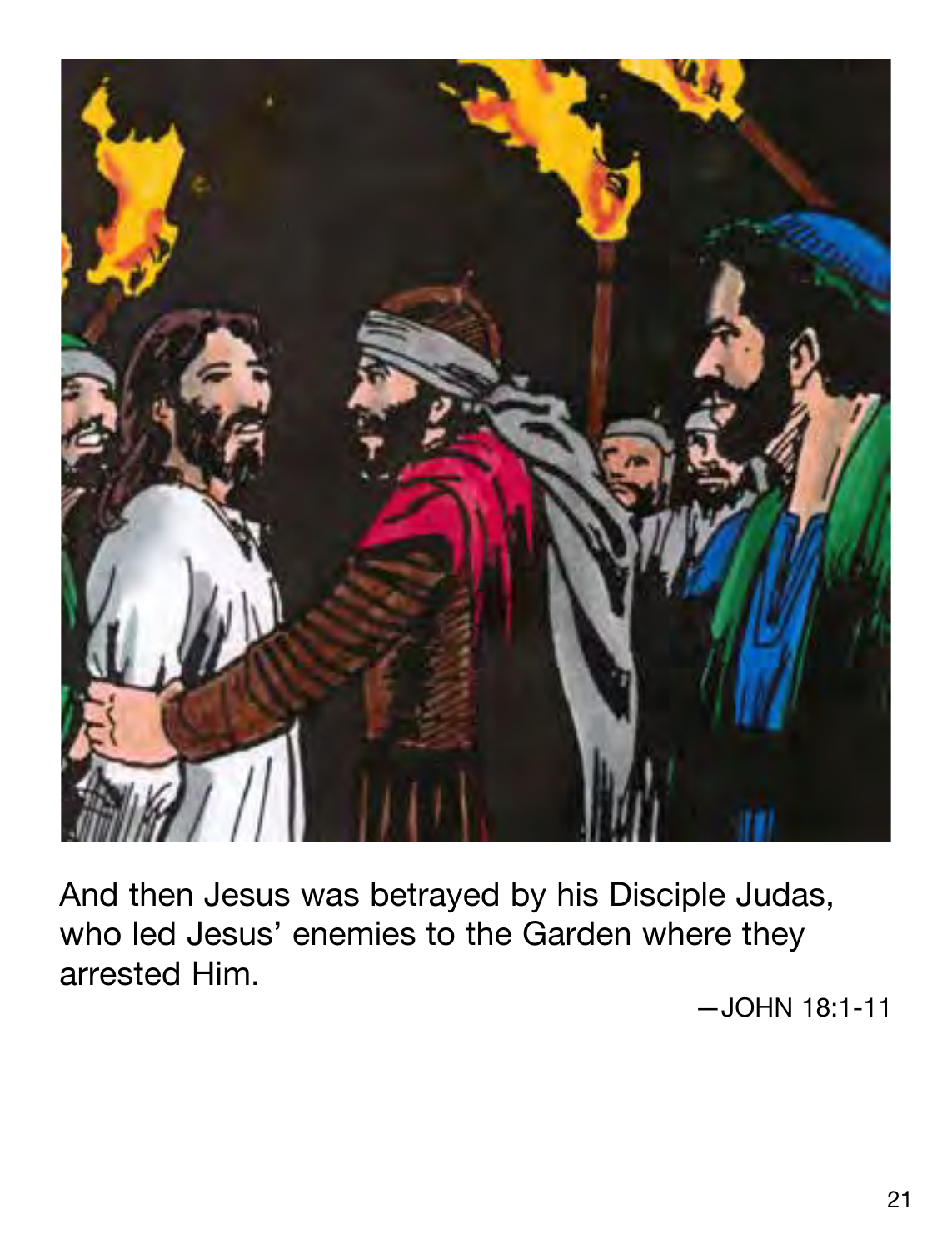

And then Jesus was betrayed by his Disciple Judas, who led Jesus' enemies to the Garden where they arrested Him.

—JOHN 18:1-11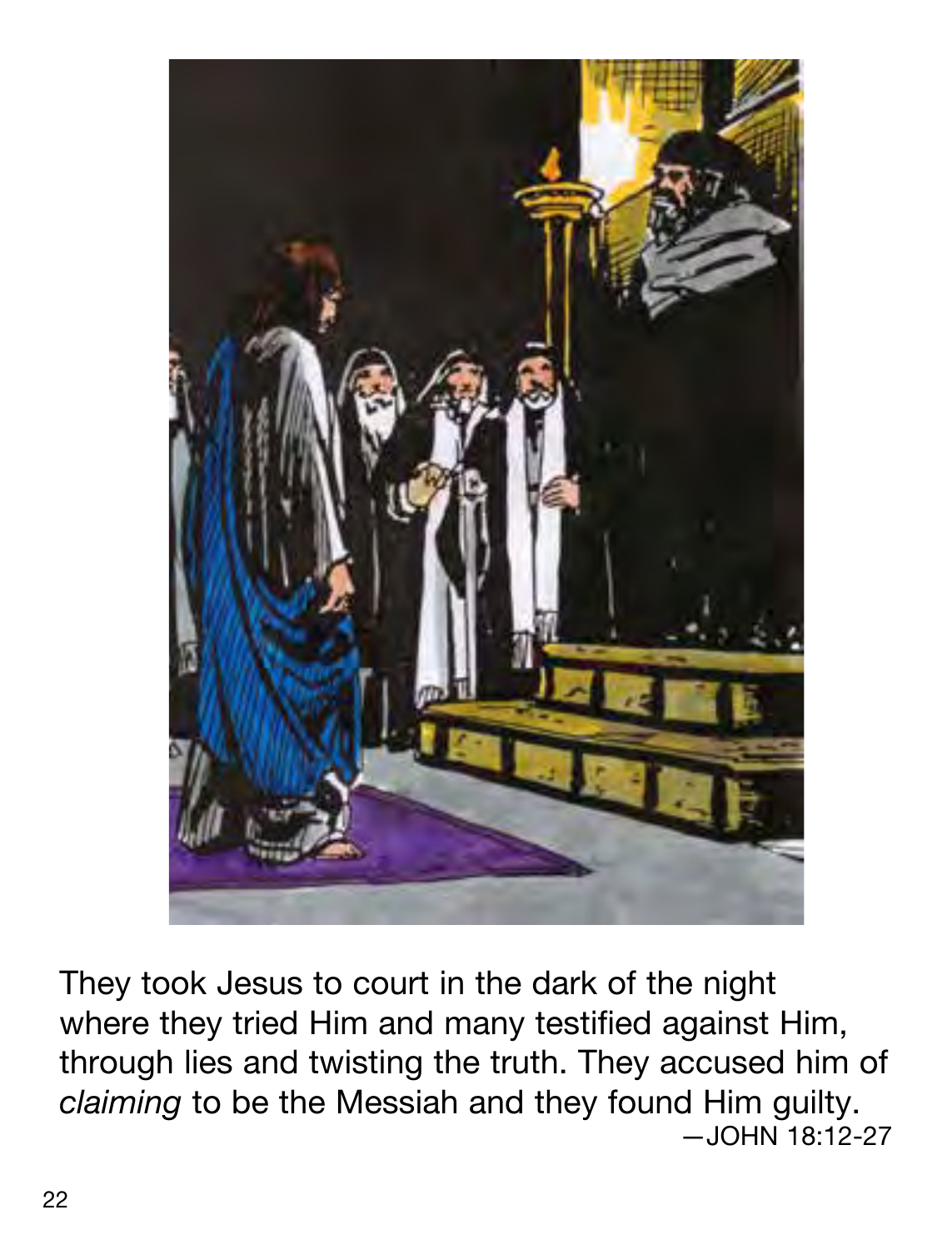

They took Jesus to court in the dark of the night where they tried Him and many testified against Him, through lies and twisting the truth. They accused him of *claiming* to be the Messiah and they found Him guilty.  $-$ JOHN 18:12-27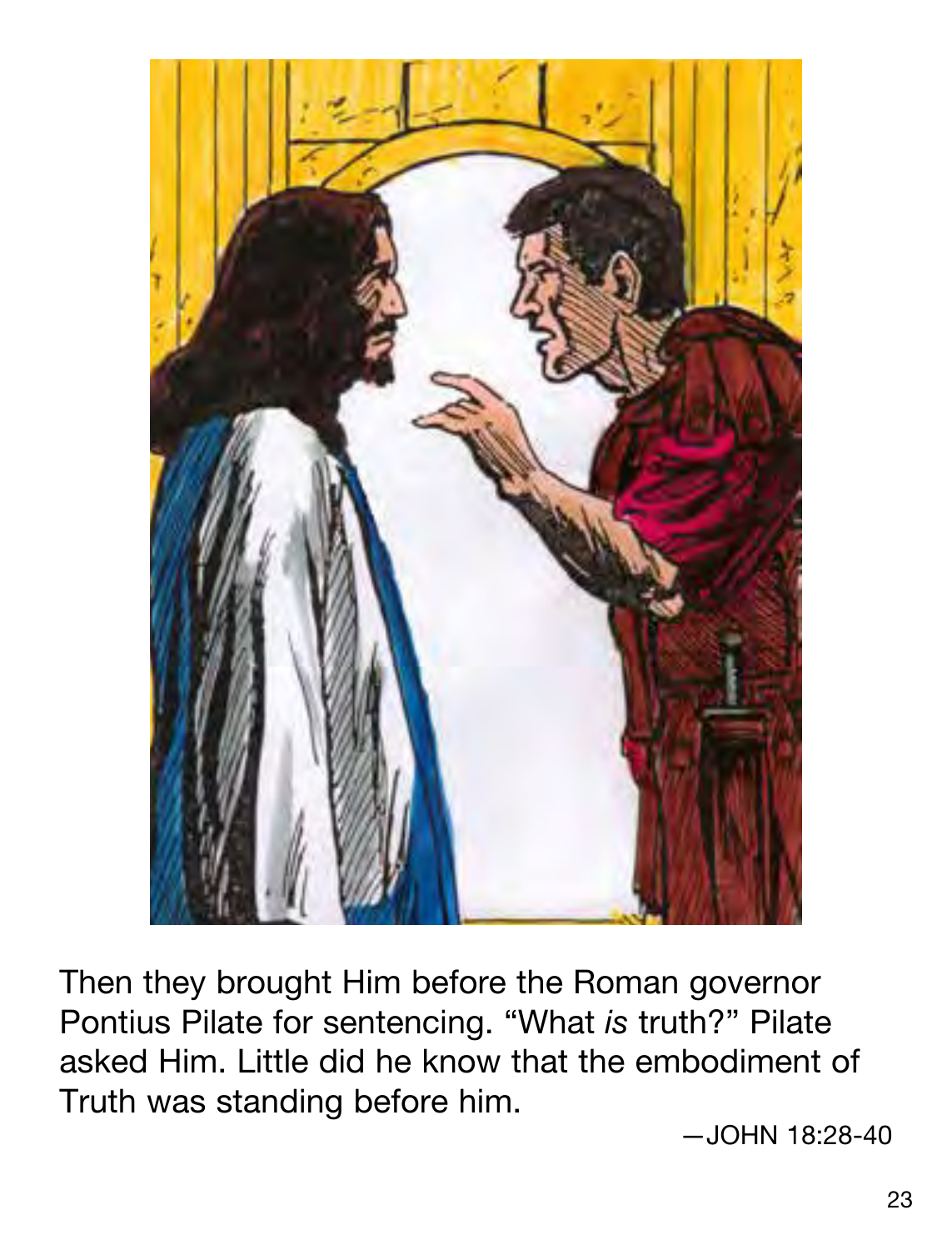

Then they brought Him before the Roman governor Pontius Pilate for sentencing. "What *is* truth?" Pilate asked Him. Little did he know that the embodiment of Truth was standing before him.

—JOHN 18:28-40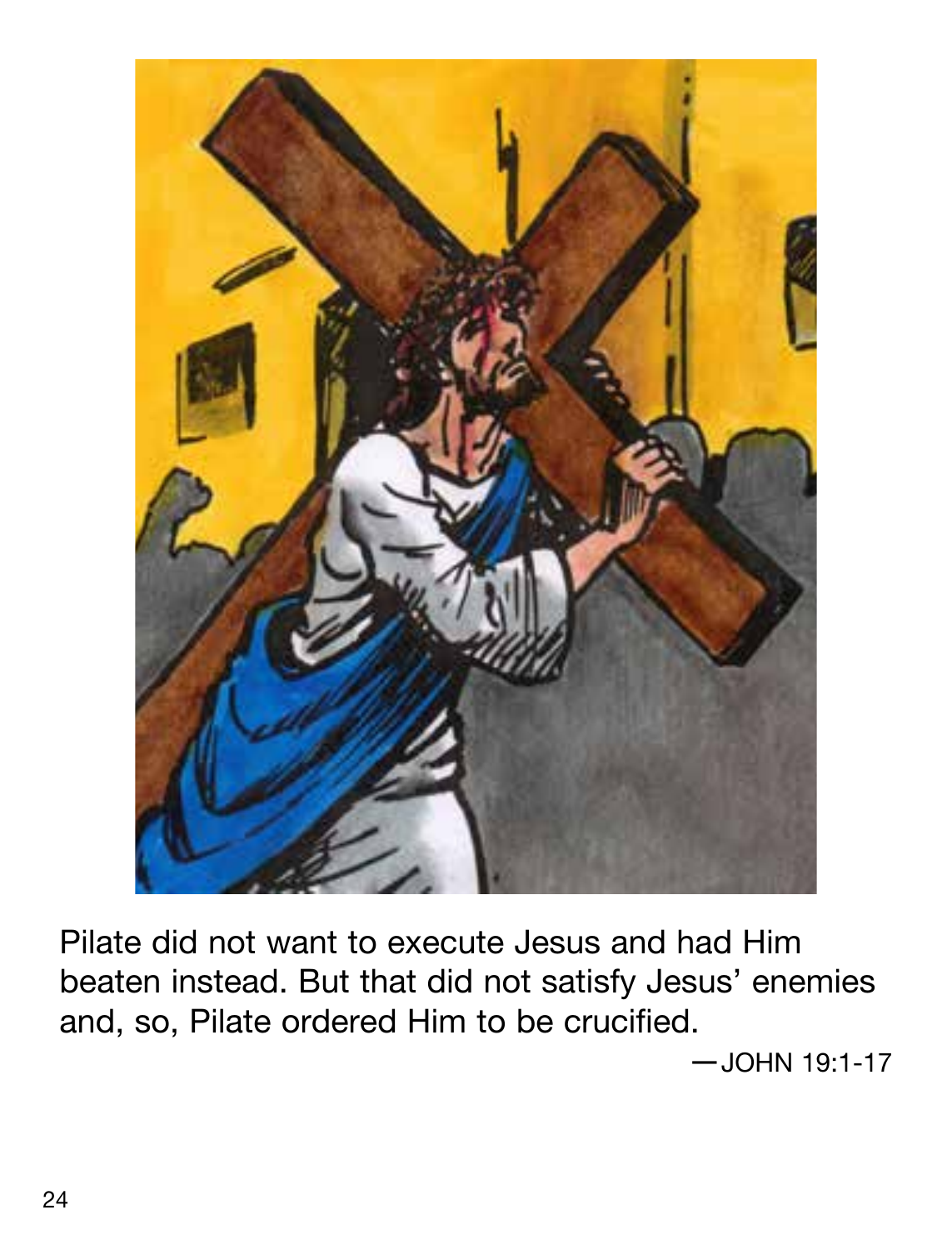

Pilate did not want to execute Jesus and had Him beaten instead. But that did not satisfy Jesus' enemies and, so, Pilate ordered Him to be crucified.

—JOHN 19:1-17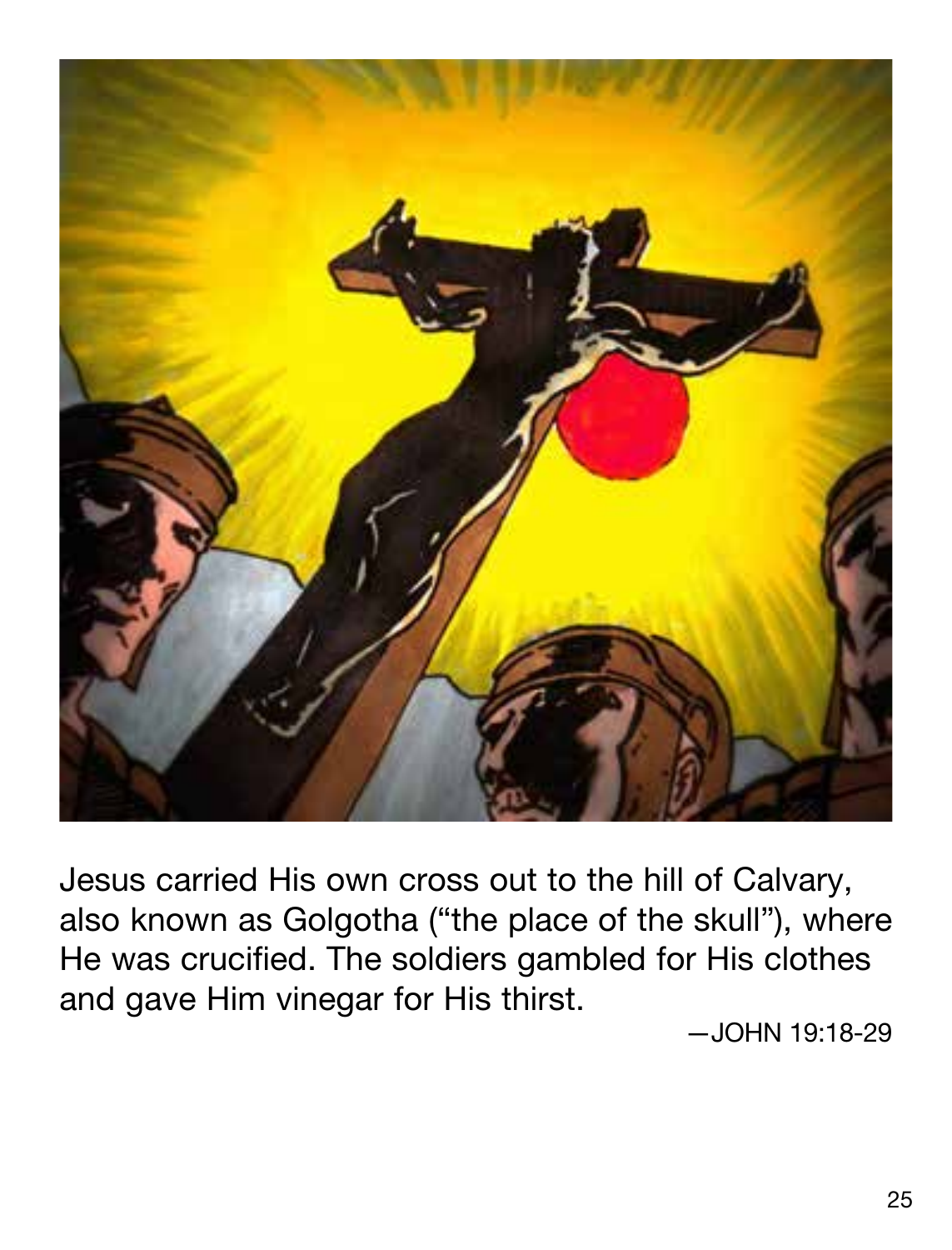

Jesus carried His own cross out to the hill of Calvary, also known as Golgotha ("the place of the skull"), where He was crucified. The soldiers gambled for His clothes and gave Him vinegar for His thirst.

—JOHN 19:18-29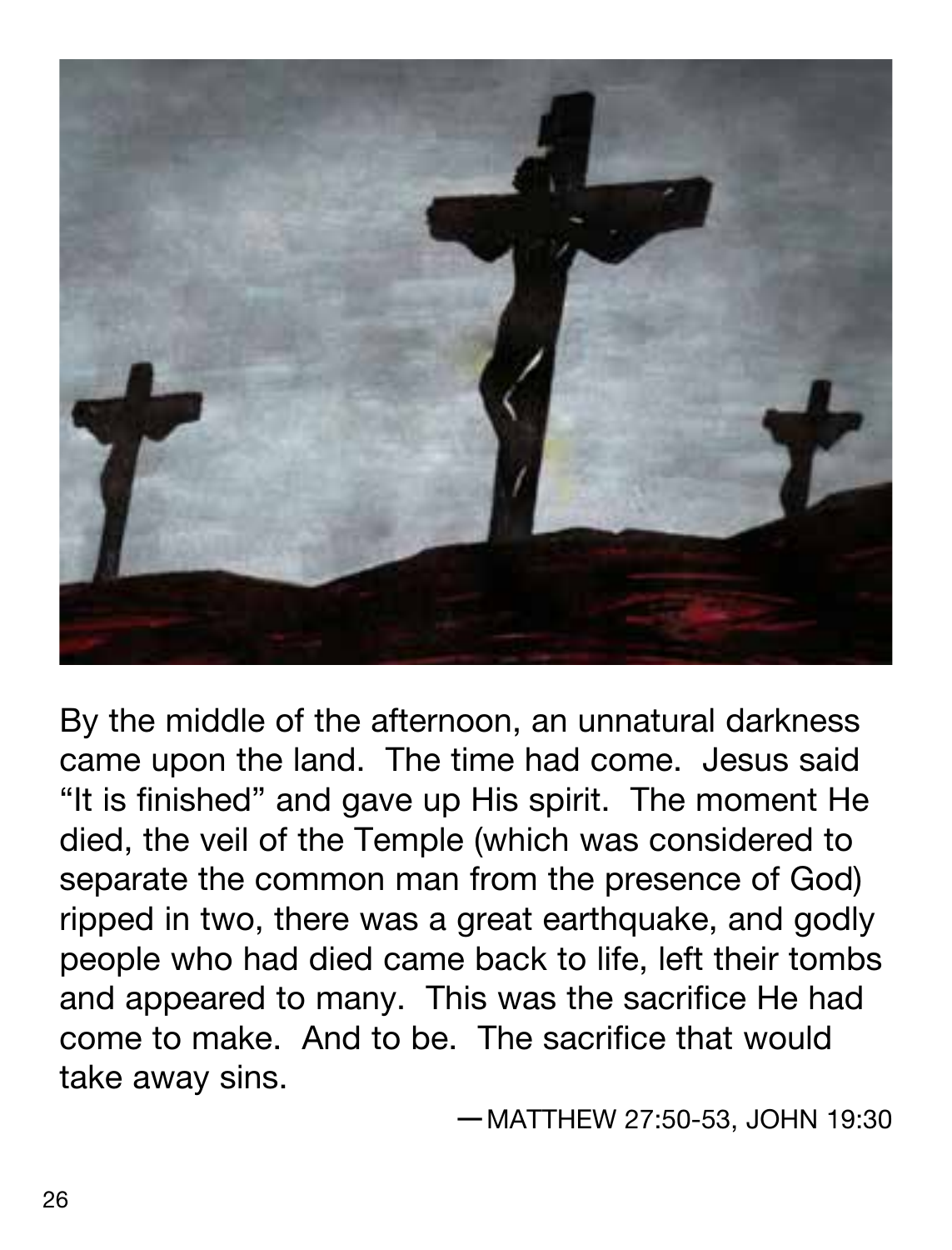

By the middle of the afternoon, an unnatural darkness came upon the land. The time had come. Jesus said "It is finished" and gave up His spirit. The moment He died, the veil of the Temple (which was considered to separate the common man from the presence of God) ripped in two, there was a great earthquake, and godly people who had died came back to life, left their tombs and appeared to many. This was the sacrifice He had come to make. And to be. The sacrifice that would take away sins.

—MATTHEW 27:50-53, JOHN 19:30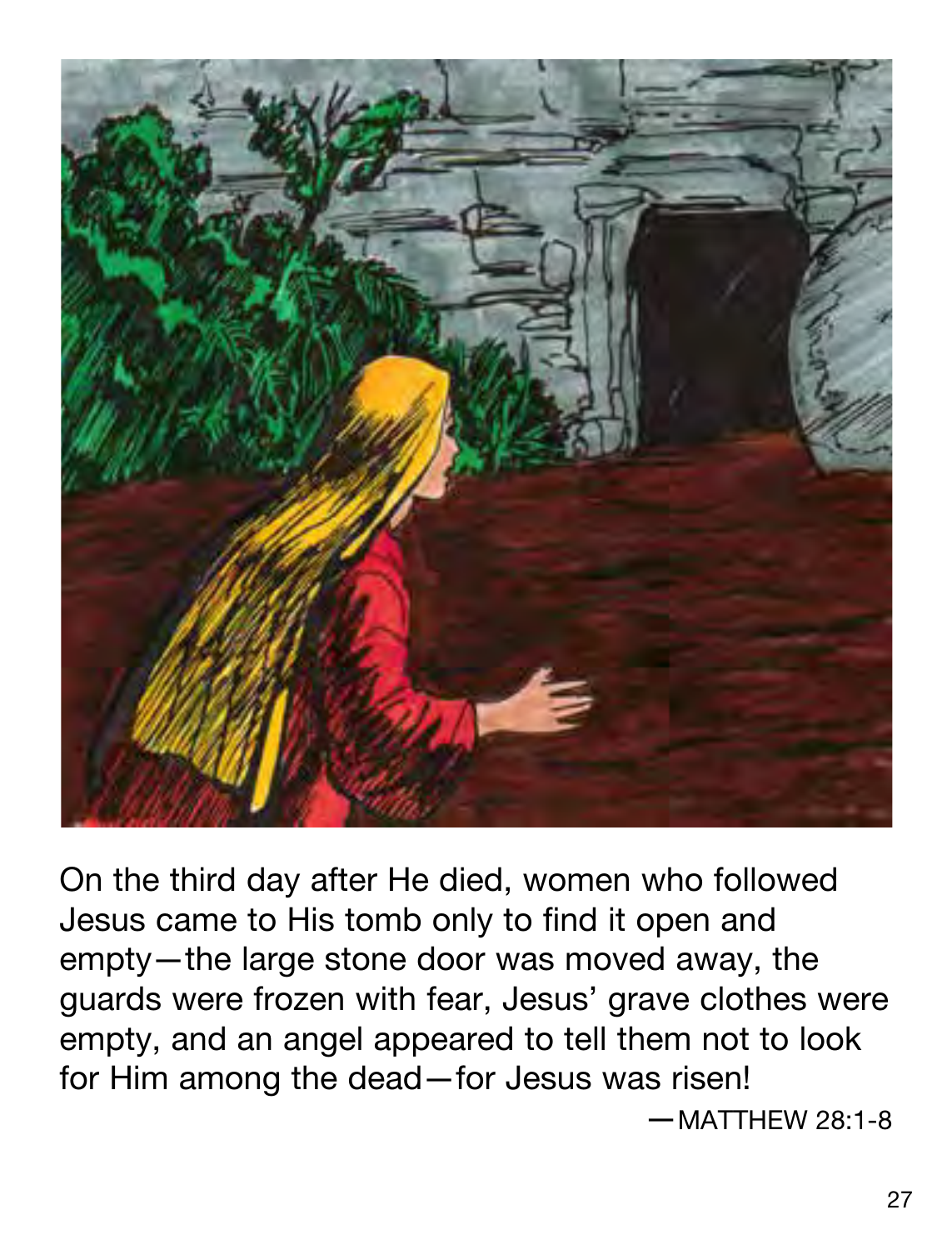

On the third day after He died, women who followed Jesus came to His tomb only to find it open and empty—the large stone door was moved away, the guards were frozen with fear, Jesus' grave clothes were empty, and an angel appeared to tell them not to look for Him among the dead—for Jesus was risen!  $-MATTHFW 28:1-8$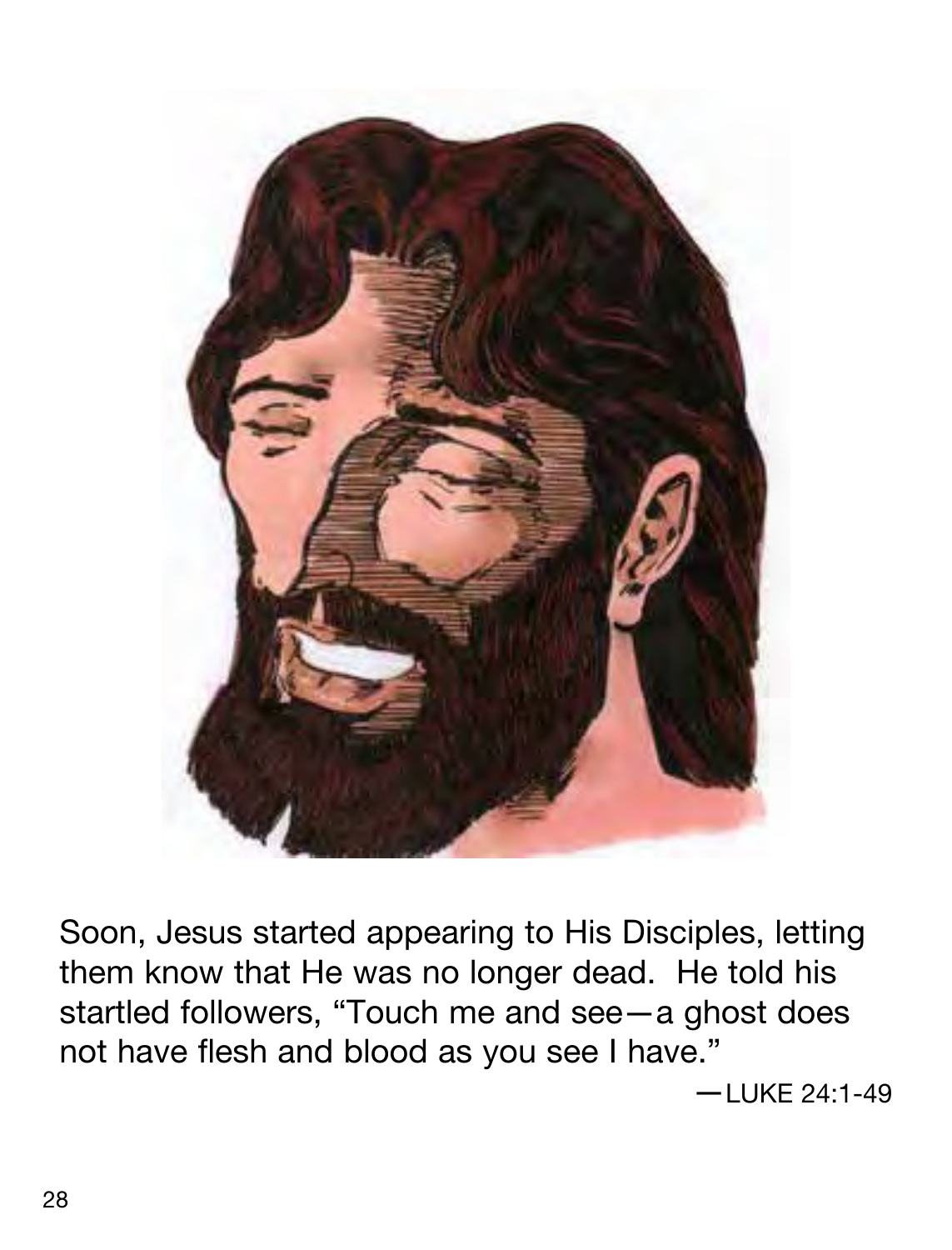

Soon, Jesus started appearing to His Disciples, letting them know that He was no longer dead. He told his startled followers, "Touch me and see—a ghost does not have flesh and blood as you see I have."

—LUKE 24:1-49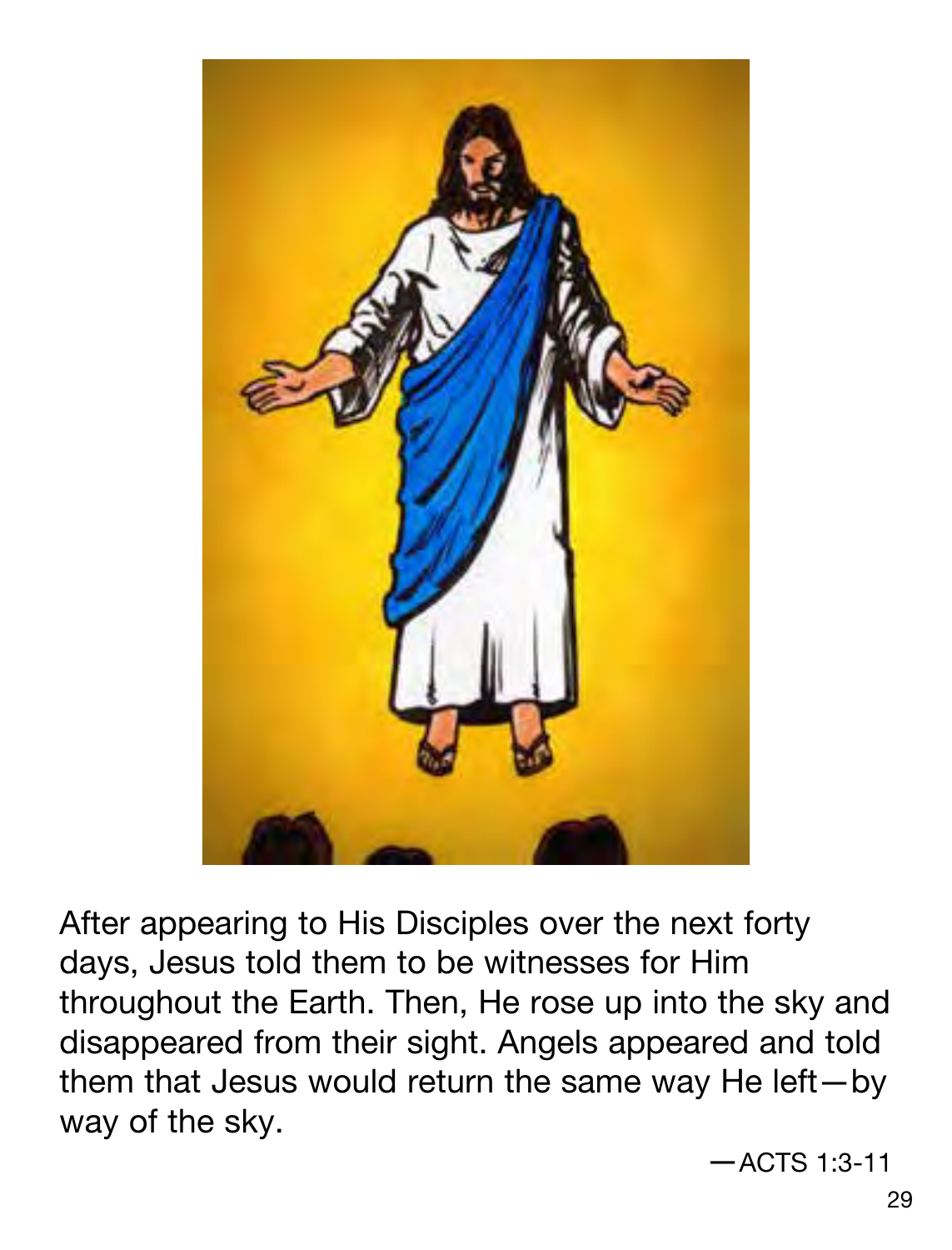

After appearing to His Disciples over the next forty days, Jesus told them to be witnesses for Him throughout the Earth. Then, He rose up into the sky and disappeared from their sight. Angels appeared and told them that Jesus would return the same way He left—by way of the sky.

—ACTS 1:3-11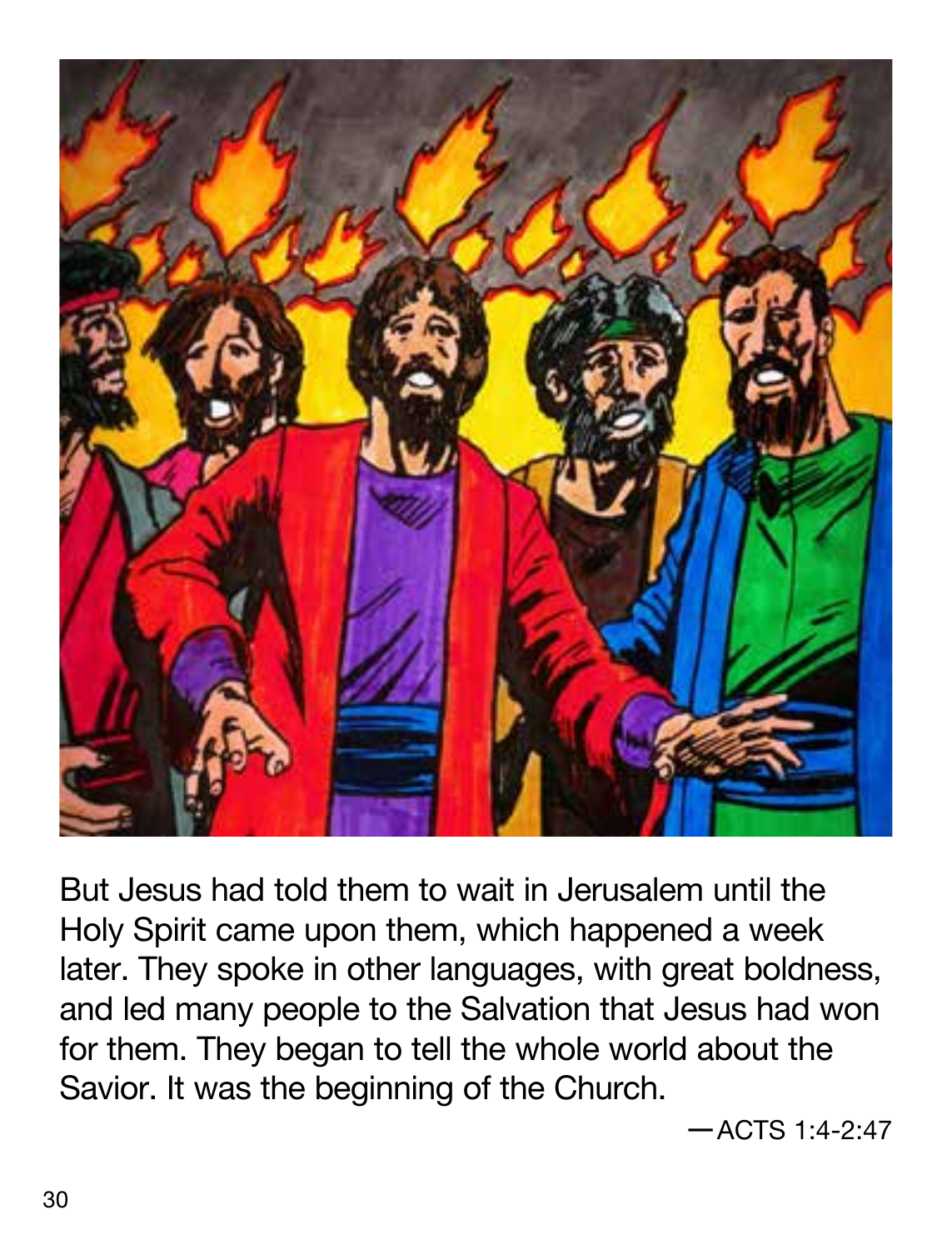

But Jesus had told them to wait in Jerusalem until the Holy Spirit came upon them, which happened a week later. They spoke in other languages, with great boldness, and led many people to the Salvation that Jesus had won for them. They began to tell the whole world about the Savior. It was the beginning of the Church.

—ACTS 1:4-2:47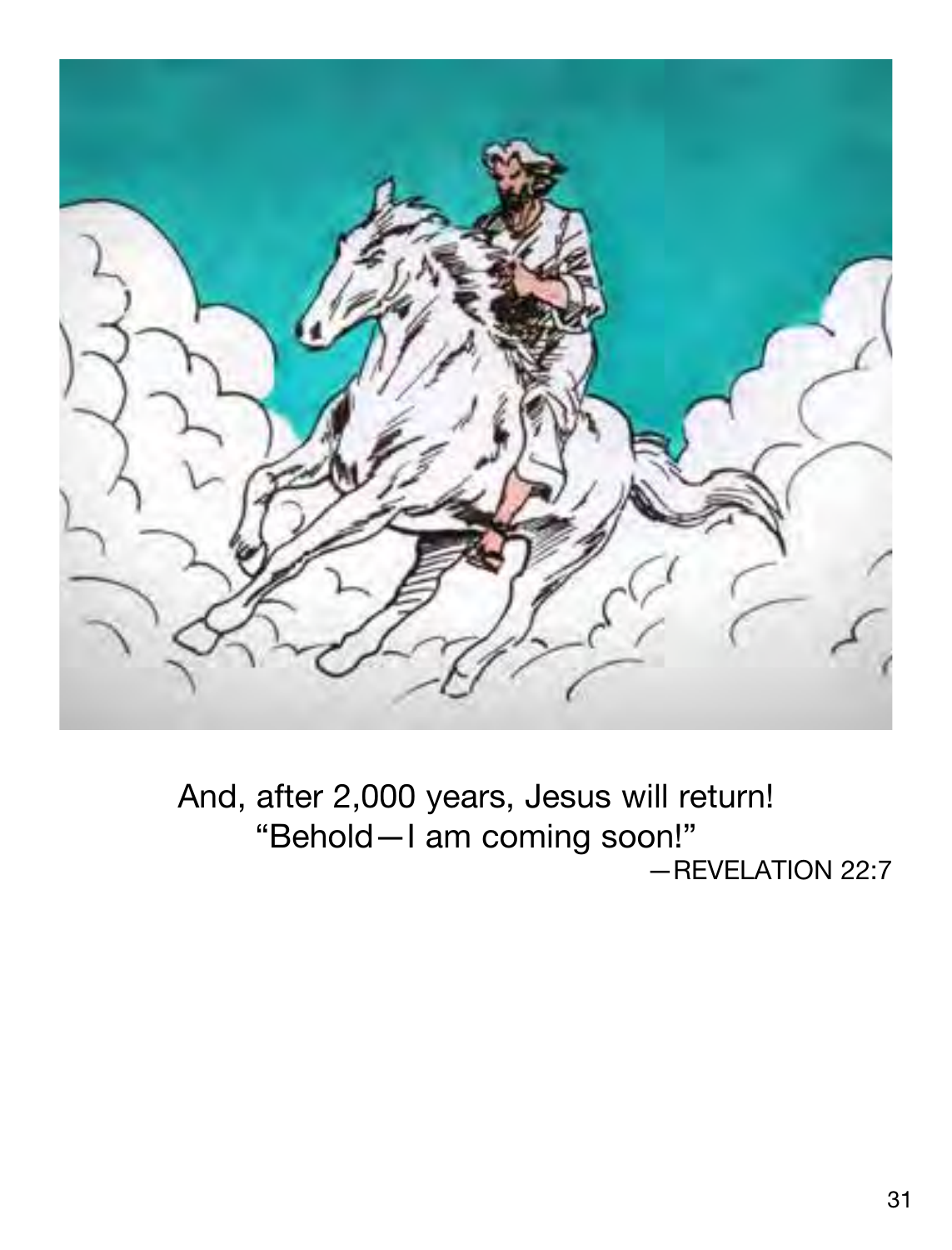

And, after 2,000 years, Jesus will return! "Behold—I am coming soon!" —REVELATION 22:7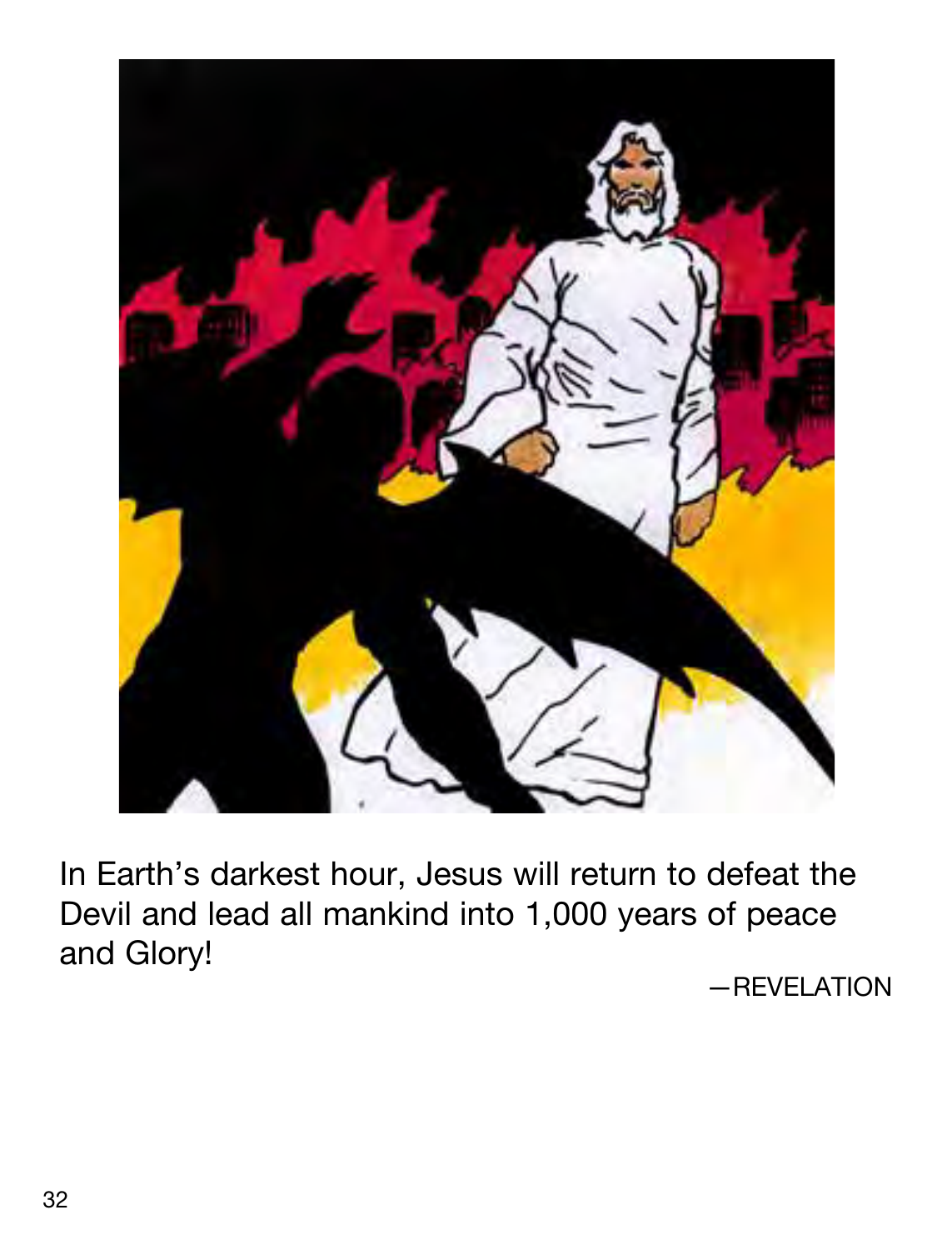

In Earth's darkest hour, Jesus will return to defeat the Devil and lead all mankind into 1,000 years of peace and Glory!

—REVELATION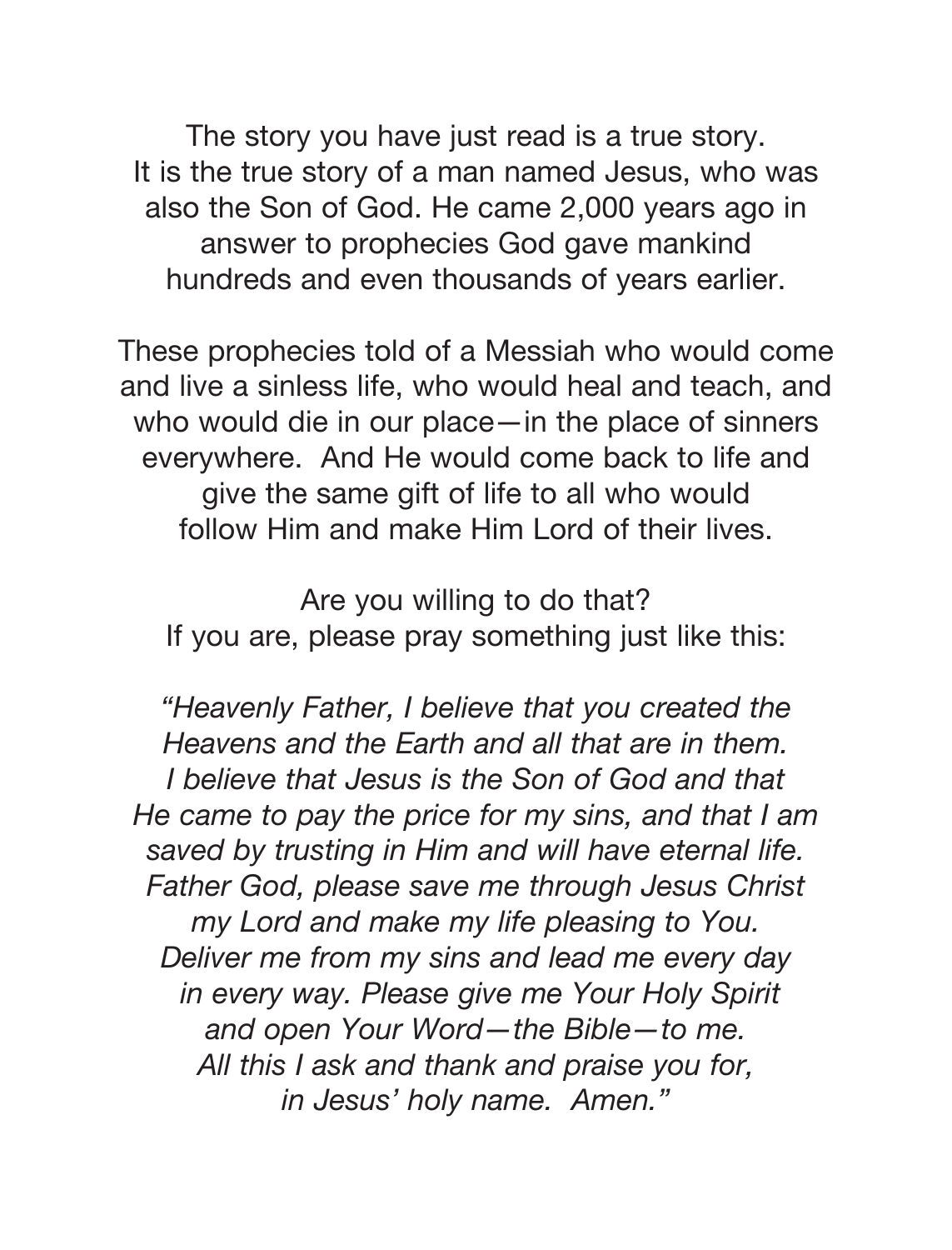The story you have just read is a true story. It is the true story of a man named Jesus, who was also the Son of God. He came 2,000 years ago in answer to prophecies God gave mankind hundreds and even thousands of years earlier.

These prophecies told of a Messiah who would come and live a sinless life, who would heal and teach, and who would die in our place—in the place of sinners everywhere. And He would come back to life and give the same gift of life to all who would follow Him and make Him Lord of their lives.

Are you willing to do that? If you are, please pray something just like this:

"Heavenly Father, I believe that you created the Heavens and the Earth and all that are in them. I believe that Jesus is the Son of God and that He came to pay the price for my sins, and that I am saved by trusting in Him and will have eternal life. Father God, please save me through Jesus Christ my Lord and make my life pleasing to You. Deliver me from my sins and lead me every day in every way. Please give me Your Holy Spirit and open Your Word—the Bible—to me. All this I ask and thank and praise you for, in Jesus' holy name. Amen."